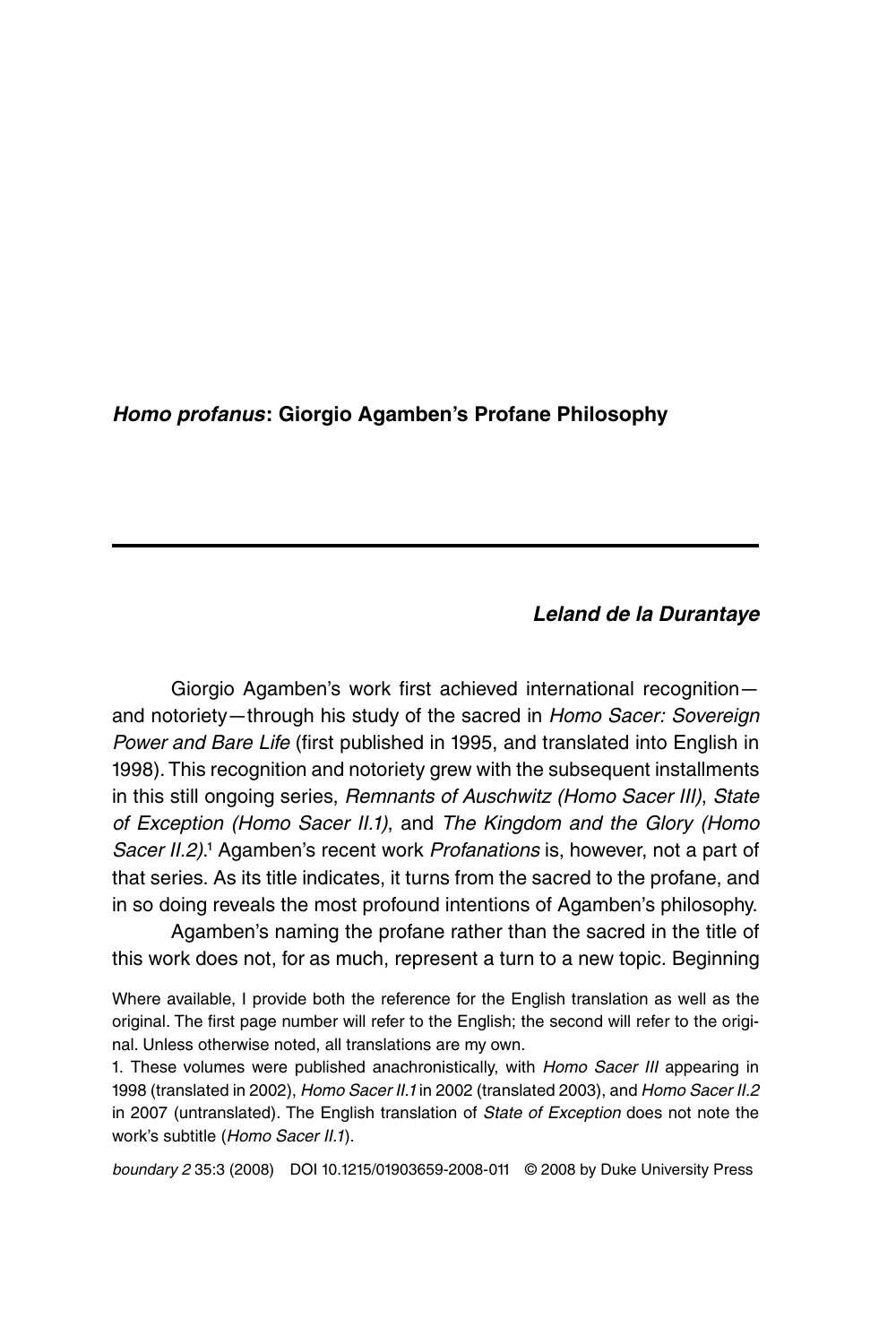# *Homo profanus***: Giorgio Agamben's Profane Philosophy**

## *Leland de la Durantaye*

Giorgio Agamben's work first achieved international recognition and notoriety—through his study of the sacred in *Homo Sacer: Sovereign Power and Bare Life* (first published in 1995, and translated into English in 1998). This recognition and notoriety grew with the subsequent installments in this still ongoing series, *Remnants of Auschwitz (Homo Sacer III)*, *State of Exception (Homo Sacer II.1)*, and *The Kingdom and the Glory (Homo Sacer II.2*).<sup>1</sup> Agamben's recent work *Profanations* is, however, not a part of that series. As its title indicates, it turns from the sacred to the profane, and in so doing reveals the most profound intentions of Agamben's philosophy.

Agamben's naming the profane rather than the sacred in the title of this work does not, for as much, represent a turn to a new topic. Beginning

Where available, I provide both the reference for the English translation as well as the original. The first page number will refer to the English; the second will refer to the original. Unless otherwise noted, all translations are my own.

1. These volumes were published anachronistically, with *Homo Sacer III* appearing in 1998 (translated in 2002), *Homo Sacer II.1* in 2002 (translated 2003), and *Homo Sacer II.2* in 2007 (untranslated). The English translation of *State of Exception* does not note the work's subtitle (*Homo Sacer II.1*).

*boundary 2* 35:3 (2008) DOI 10.1215/01903659-2008-011 © 2008 by Duke University Press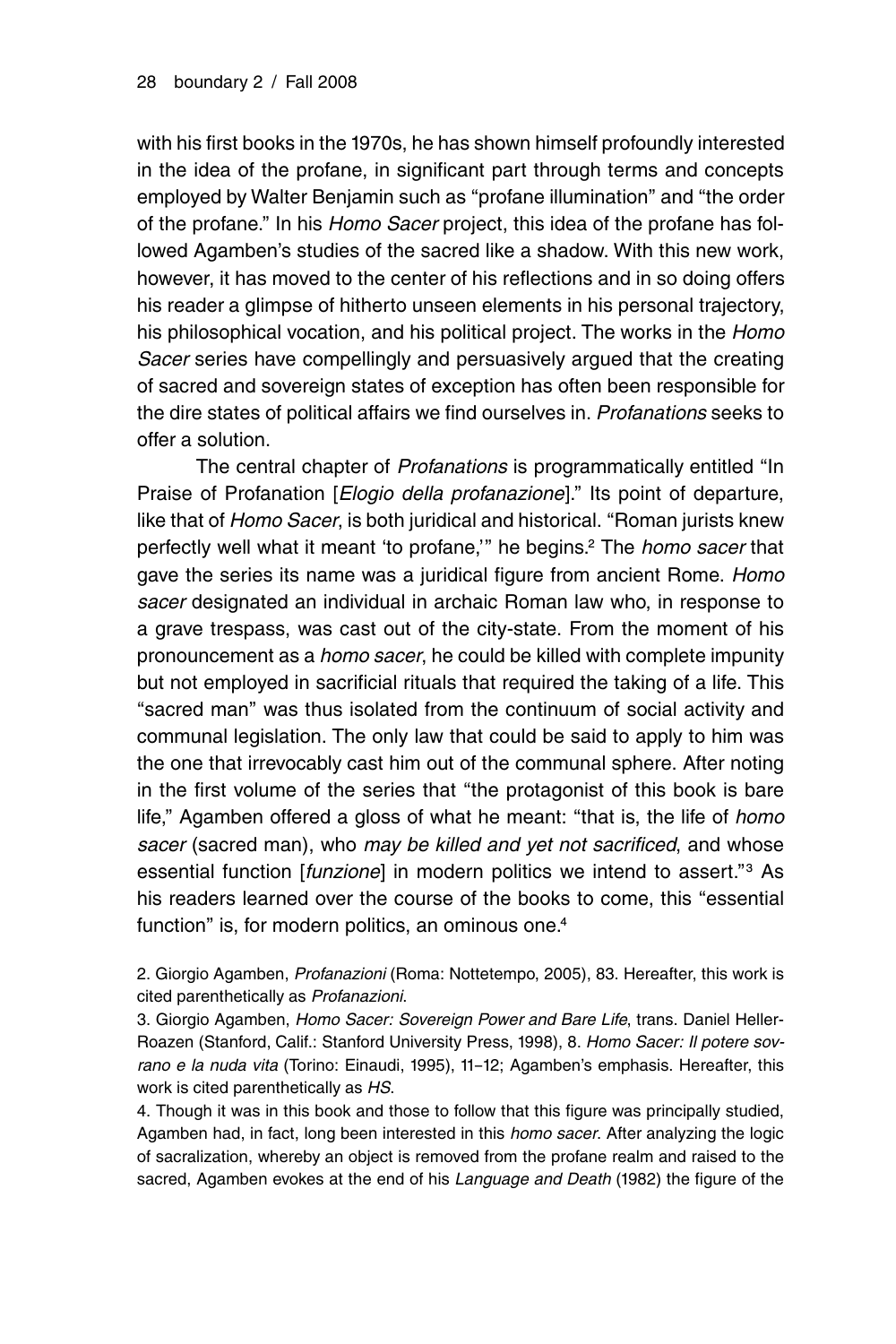with his first books in the 1970s, he has shown himself profoundly interested in the idea of the profane, in significant part through terms and concepts employed by Walter Benjamin such as "profane illumination" and "the order of the profane." In his *Homo Sacer* project, this idea of the profane has followed Agamben's studies of the sacred like a shadow. With this new work, however, it has moved to the center of his reflections and in so doing offers his reader a glimpse of hitherto unseen elements in his personal trajectory, his philosophical vocation, and his political project. The works in the *Homo Sacer* series have compellingly and persuasively argued that the creating of sacred and sovereign states of exception has often been responsible for the dire states of political affairs we find ourselves in. *Profanations* seeks to offer a solution.

The central chapter of *Profanations* is programmatically entitled "In Praise of Profanation [*Elogio della profanazione*]." Its point of departure, like that of *Homo Sacer*, is both juridical and historical. "Roman jurists knew perfectly well what it meant 'to profane,'" he begins.² The *homo sacer* that gave the series its name was a juridical figure from ancient Rome. *Homo sacer* designated an individual in archaic Roman law who, in response to a grave trespass, was cast out of the city-state. From the moment of his pronouncement as a *homo sacer*, he could be killed with complete impunity but not employed in sacrificial rituals that required the taking of a life. This "sacred man" was thus isolated from the continuum of social activity and communal legislation. The only law that could be said to apply to him was the one that irrevocably cast him out of the communal sphere. After noting in the first volume of the series that "the protagonist of this book is bare life," Agamben offered a gloss of what he meant: "that is, the life of *homo sacer* (sacred man), who *may be killed and yet not sacrificed*, and whose essential function [*funzione*] in modern politics we intend to assert."³ As his readers learned over the course of the books to come, this "essential function" is, for modern politics, an ominous one.<sup>4</sup>

2. Giorgio Agamben, *Profanazioni* (Roma: Nottetempo, 2005), 83. Hereafter, this work is cited parenthetically as *Profanazioni*.

3. Giorgio Agamben, *Homo Sacer: Sovereign Power and Bare Life*, trans. Daniel Heller-Roazen (Stanford, Calif.: Stanford University Press, 1998), 8. *Homo Sacer: Il potere sovrano e la nuda vita* (Torino: Einaudi, 1995), 11–12; Agamben's emphasis. Hereafter, this work is cited parenthetically as *HS*.

4. Though it was in this book and those to follow that this figure was principally studied, Agamben had, in fact, long been interested in this *homo sacer*. After analyzing the logic of sacralization, whereby an object is removed from the profane realm and raised to the sacred, Agamben evokes at the end of his *Language and Death* (1982) the figure of the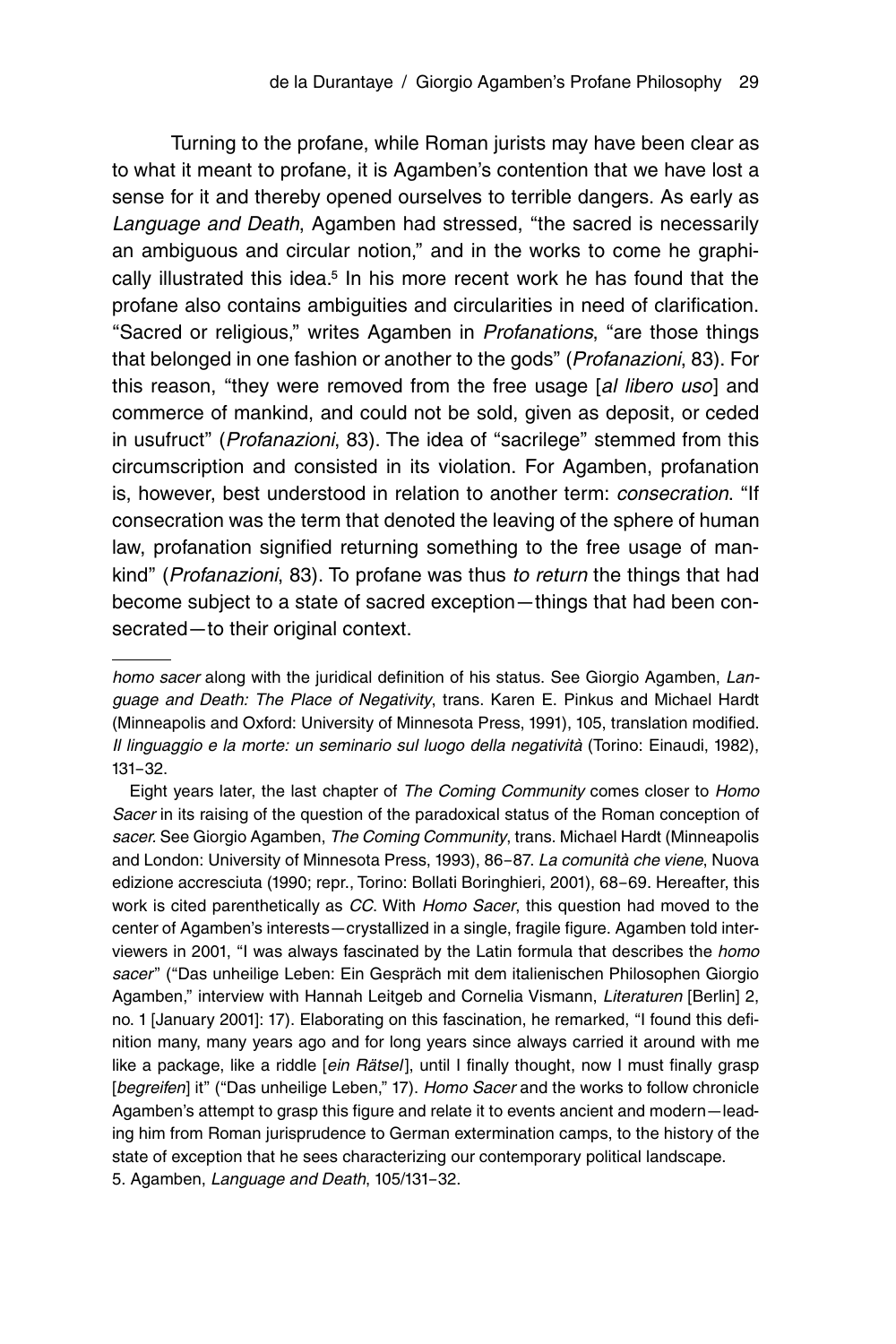Turning to the profane, while Roman jurists may have been clear as to what it meant to profane, it is Agamben's contention that we have lost a sense for it and thereby opened ourselves to terrible dangers. As early as *Language and Death*, Agamben had stressed, "the sacred is necessarily an ambiguous and circular notion," and in the works to come he graphically illustrated this idea.<sup>5</sup> In his more recent work he has found that the profane also contains ambiguities and circularities in need of clarification. "Sacred or religious," writes Agamben in *Profanations*, "are those things that belonged in one fashion or another to the gods" (*Profanazioni*, 83). For this reason, "they were removed from the free usage [*al libero uso*] and commerce of mankind, and could not be sold, given as deposit, or ceded in usufruct" (*Profanazioni*, 83). The idea of "sacrilege" stemmed from this circumscription and consisted in its violation. For Agamben, profanation is, however, best understood in relation to another term: *consecration*. "If consecration was the term that denoted the leaving of the sphere of human law, profanation signified returning something to the free usage of mankind" (*Profanazioni*, 83). To profane was thus *to return* the things that had become subject to a state of sacred exception—things that had been consecrated—to their original context.

*homo sacer* along with the juridical definition of his status. See Giorgio Agamben, *Language and Death: The Place of Negativity*, trans. Karen E. Pinkus and Michael Hardt (Minneapolis and Oxford: University of Minnesota Press, 1991), 105, translation modified. *Il linguaggio e la morte: un seminario sul luogo della negatività* (Torino: Einaudi, 1982), 131–32.

Eight years later, the last chapter of *The Coming Community* comes closer to *Homo Sacer* in its raising of the question of the paradoxical status of the Roman conception of *sacer.* See Giorgio Agamben, *The Coming Community*, trans. Michael Hardt (Minneapolis and London: University of Minnesota Press, 1993), 86–87. *La comunità che viene*, Nuova edizione accresciuta (1990; repr., Torino: Bollati Boringhieri, 2001), 68–69. Hereafter, this work is cited parenthetically as *CC*. With *Homo Sacer*, this question had moved to the center of Agamben's interests—crystallized in a single, fragile figure. Agamben told interviewers in 2001, "I was always fascinated by the Latin formula that describes the *homo sacer*" ("Das unheilige Leben: Ein Gespräch mit dem italienischen Philosophen Giorgio Agamben," interview with Hannah Leitgeb and Cornelia Vismann, *Literaturen* [Berlin] 2, no. 1 [January 2001]: 17). Elaborating on this fascination, he remarked, "I found this definition many, many years ago and for long years since always carried it around with me like a package, like a riddle [*ein Rätsel* ], until I finally thought, now I must finally grasp [begreifen] it" ("Das unheilige Leben," 17). *Homo Sacer* and the works to follow chronicle Agamben's attempt to grasp this figure and relate it to events ancient and modern—leading him from Roman jurisprudence to German extermination camps, to the history of the state of exception that he sees characterizing our contemporary political landscape. 5. Agamben, *Language and Death*, 105/131–32.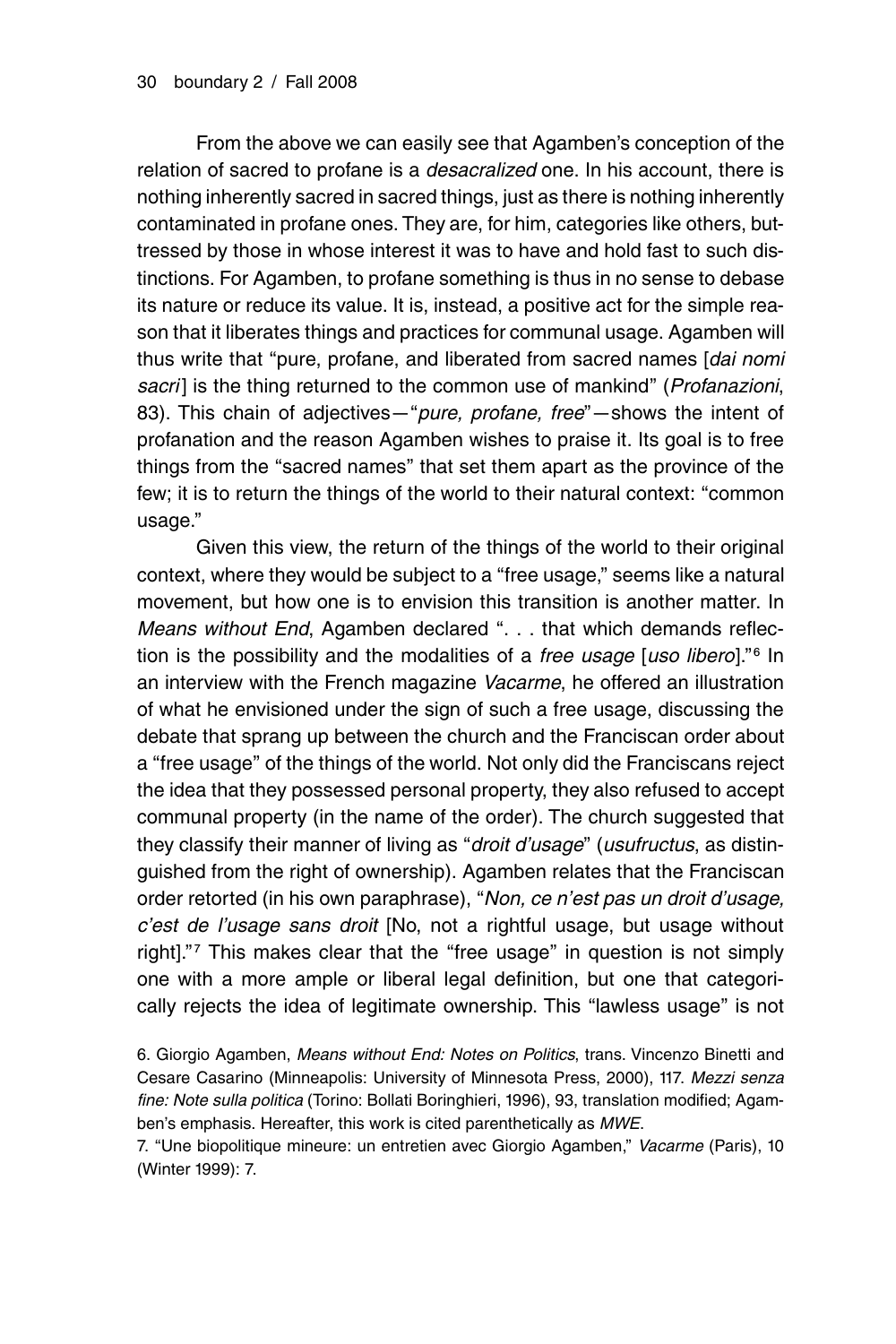From the above we can easily see that Agamben's conception of the relation of sacred to profane is a *desacralized* one. In his account, there is nothing inherently sacred in sacred things, just as there is nothing inherently contaminated in profane ones. They are, for him, categories like others, buttressed by those in whose interest it was to have and hold fast to such distinctions. For Agamben, to profane something is thus in no sense to debase its nature or reduce its value. It is, instead, a positive act for the simple reason that it liberates things and practices for communal usage. Agamben will thus write that "pure, profane, and liberated from sacred names [*dai nomi sacri* ] is the thing returned to the common use of mankind" (*Profanazioni*, 83). This chain of adjectives—"*pure, profane, free*"—shows the intent of profanation and the reason Agamben wishes to praise it. Its goal is to free things from the "sacred names" that set them apart as the province of the few; it is to return the things of the world to their natural context: "common usage."

Given this view, the return of the things of the world to their original context, where they would be subject to a "free usage," seems like a natural movement, but how one is to envision this transition is another matter. In *Means without End*, Agamben declared ". . . that which demands reflection is the possibility and the modalities of a *free usage* [*uso libero*]."⁶ In an interview with the French magazine *Vacarme*, he offered an illustration of what he envisioned under the sign of such a free usage, discussing the debate that sprang up between the church and the Franciscan order about a "free usage" of the things of the world. Not only did the Franciscans reject the idea that they possessed personal property, they also refused to accept communal property (in the name of the order). The church suggested that they classify their manner of living as "*droit d'usage*" (*usufructus*, as distinguished from the right of ownership). Agamben relates that the Franciscan order retorted (in his own paraphrase), "*Non, ce n'est pas un droit d'usage, c'est de l'usage sans droit* [No, not a rightful usage, but usage without right]."<sup>7</sup> This makes clear that the "free usage" in question is not simply one with a more ample or liberal legal definition, but one that categorically rejects the idea of legitimate ownership. This "lawless usage" is not

<sup>6.</sup> Giorgio Agamben, *Means without End: Notes on Politics*, trans. Vincenzo Binetti and Cesare Casarino (Minneapolis: University of Minnesota Press, 2000), 117. *Mezzi senza fine: Note sulla politica* (Torino: Bollati Boringhieri, 1996), 93, translation modified; Agamben's emphasis. Hereafter, this work is cited parenthetically as *MWE*.

<sup>7. &</sup>quot;Une biopolitique mineure: un entretien avec Giorgio Agamben," *Vacarme* (Paris), 10 (Winter 1999): 7.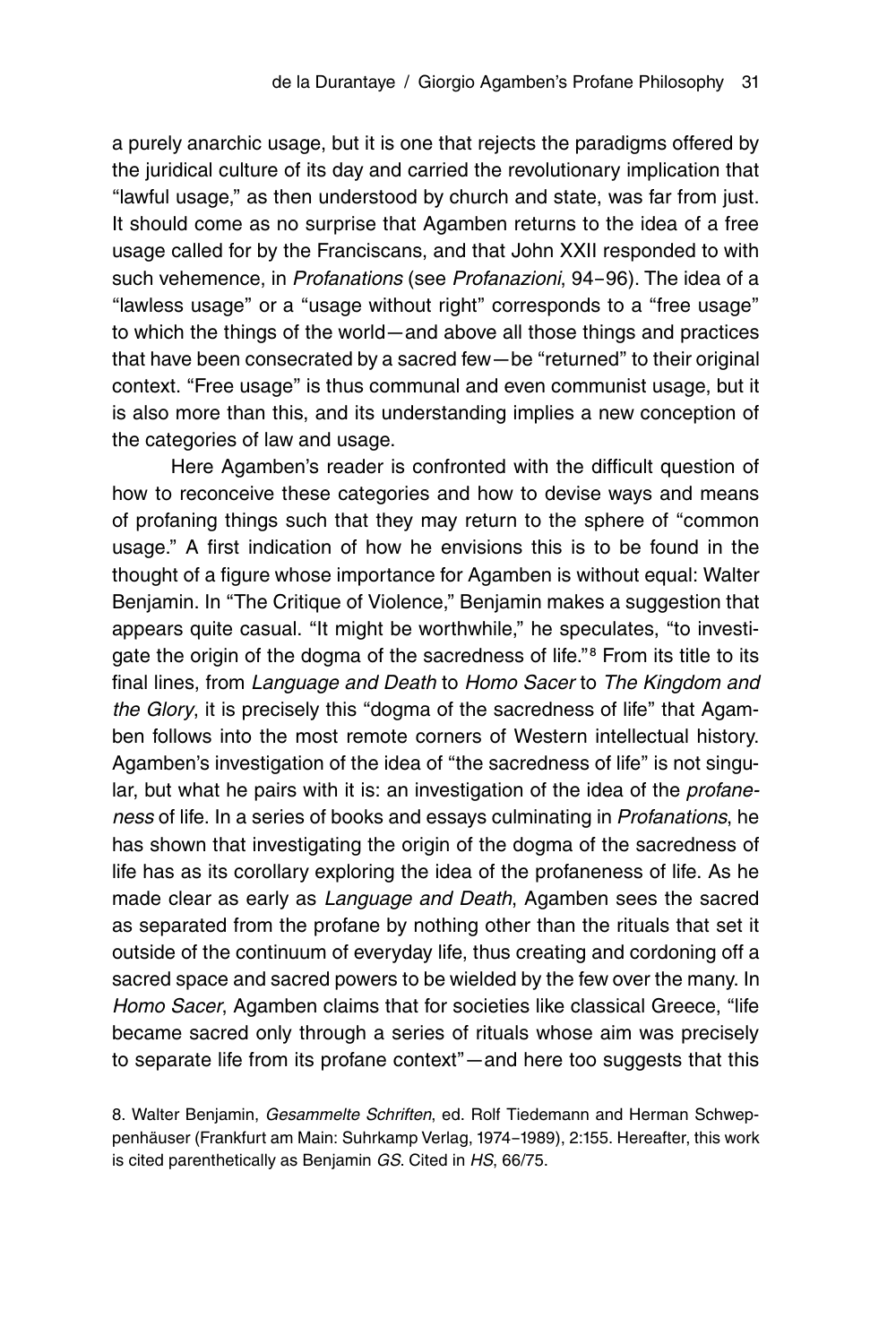a purely anarchic usage, but it is one that rejects the paradigms offered by the juridical culture of its day and carried the revolutionary implication that "lawful usage," as then understood by church and state, was far from just. It should come as no surprise that Agamben returns to the idea of a free usage called for by the Franciscans, and that John XXII responded to with such vehemence, in *Profanations* (see *Profanazioni*, 94–96). The idea of a "lawless usage" or a "usage without right" corresponds to a "free usage" to which the things of the world—and above all those things and practices that have been consecrated by a sacred few—be "returned" to their original context. "Free usage" is thus communal and even communist usage, but it is also more than this, and its understanding implies a new conception of the categories of law and usage.

Here Agamben's reader is confronted with the difficult question of how to reconceive these categories and how to devise ways and means of profaning things such that they may return to the sphere of "common usage." A first indication of how he envisions this is to be found in the thought of a figure whose importance for Agamben is without equal: Walter Benjamin. In "The Critique of Violence," Benjamin makes a suggestion that appears quite casual. "It might be worthwhile," he speculates, "to investigate the origin of the dogma of the sacredness of life."<sup>8</sup> From its title to its final lines, from *Language and Death* to *Homo Sacer* to *The Kingdom and the Glory*, it is precisely this "dogma of the sacredness of life" that Agamben follows into the most remote corners of Western intellectual history. Agamben's investigation of the idea of "the sacredness of life" is not singular, but what he pairs with it is: an investigation of the idea of the *profaneness* of life. In a series of books and essays culminating in *Profanations*, he has shown that investigating the origin of the dogma of the sacredness of life has as its corollary exploring the idea of the profaneness of life. As he made clear as early as *Language and Death*, Agamben sees the sacred as separated from the profane by nothing other than the rituals that set it outside of the continuum of everyday life, thus creating and cordoning off a sacred space and sacred powers to be wielded by the few over the many. In *Homo Sacer*, Agamben claims that for societies like classical Greece, "life became sacred only through a series of rituals whose aim was precisely to separate life from its profane context"—and here too suggests that this

8. Walter Benjamin, *Gesammelte Schriften*, ed. Rolf Tiedemann and Herman Schweppenhäuser (Frankfurt am Main: Suhrkamp Verlag, 1974–1989), 2:155. Hereafter, this work is cited parenthetically as Benjamin *GS*. Cited in *HS*, 66/75.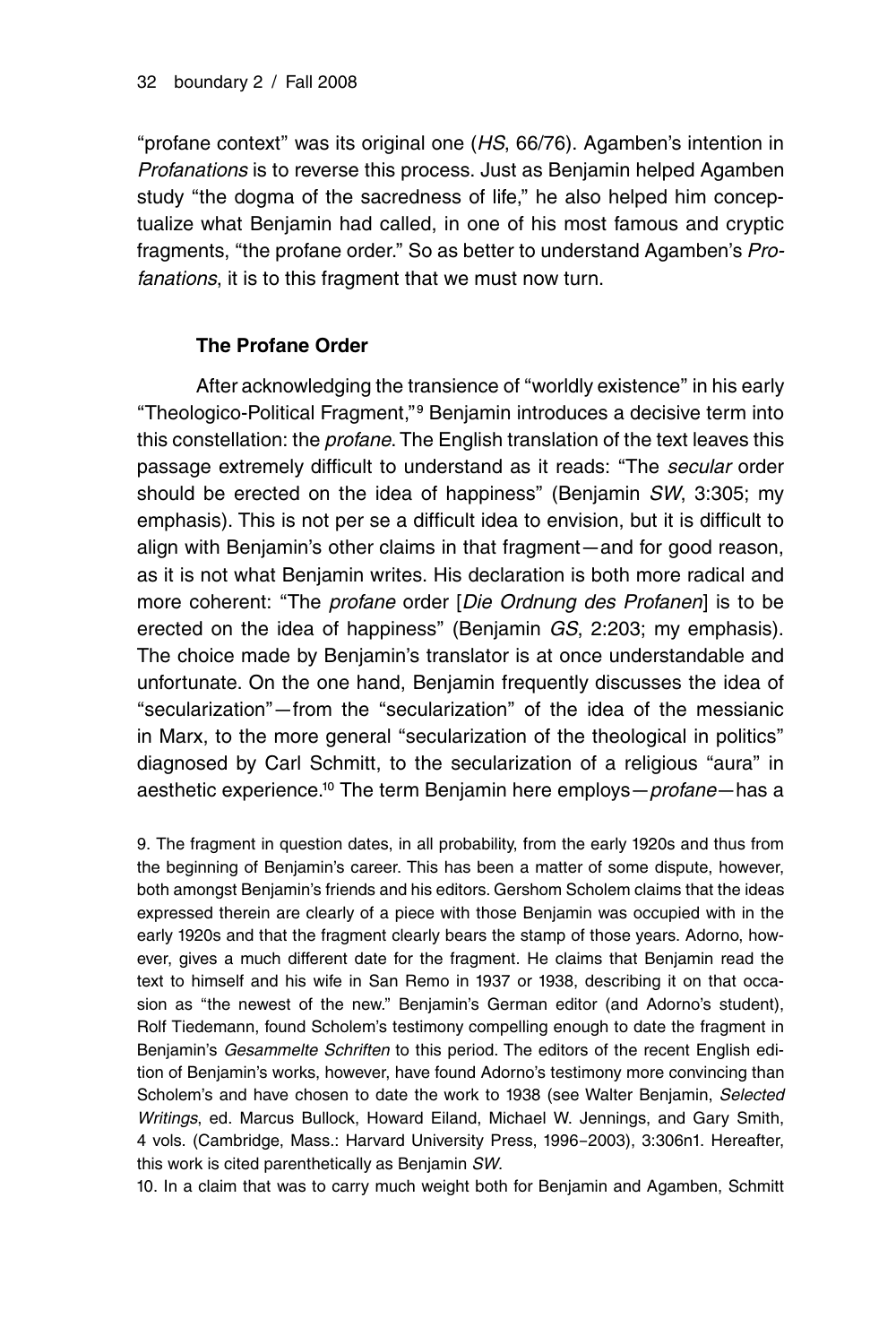"profane context" was its original one (*HS*, 66/76). Agamben's intention in *Profanations* is to reverse this process. Just as Benjamin helped Agamben study "the dogma of the sacredness of life," he also helped him conceptualize what Benjamin had called, in one of his most famous and cryptic fragments, "the profane order." So as better to understand Agamben's *Profanations*, it is to this fragment that we must now turn.

# **The Profane Order**

After acknowledging the transience of "worldly existence" in his early "Theologico-Political Fragment,"<sup>9</sup> Benjamin introduces a decisive term into this constellation: the *profane*. The English translation of the text leaves this passage extremely difficult to understand as it reads: "The *secular* order should be erected on the idea of happiness" (Benjamin *SW*, 3:305; my emphasis). This is not per se a difficult idea to envision, but it is difficult to align with Benjamin's other claims in that fragment—and for good reason, as it is not what Benjamin writes. His declaration is both more radical and more coherent: "The *profane* order [*Die Ordnung des Profanen*] is to be erected on the idea of happiness" (Benjamin *GS*, 2:203; my emphasis). The choice made by Benjamin's translator is at once understandable and unfortunate. On the one hand, Benjamin frequently discusses the idea of "secularization"—from the "secularization" of the idea of the messianic in Marx, to the more general "secularization of the theological in politics" diagnosed by Carl Schmitt, to the secularization of a religious "aura" in aesthetic experience.<sup>10</sup> The term Benjamin here employs—*profane*—has a

9. The fragment in question dates, in all probability, from the early 1920s and thus from the beginning of Benjamin's career. This has been a matter of some dispute, however, both amongst Benjamin's friends and his editors. Gershom Scholem claims that the ideas expressed therein are clearly of a piece with those Benjamin was occupied with in the early 1920s and that the fragment clearly bears the stamp of those years. Adorno, however, gives a much different date for the fragment. He claims that Benjamin read the text to himself and his wife in San Remo in 1937 or 1938, describing it on that occasion as "the newest of the new." Benjamin's German editor (and Adorno's student), Rolf Tiedemann, found Scholem's testimony compelling enough to date the fragment in Benjamin's *Gesammelte Schriften* to this period. The editors of the recent English edition of Benjamin's works, however, have found Adorno's testimony more convincing than Scholem's and have chosen to date the work to 1938 (see Walter Benjamin, *Selected Writings*, ed. Marcus Bullock, Howard Eiland, Michael W. Jennings, and Gary Smith, 4 vols. (Cambridge, Mass.: Harvard University Press, 1996–2003), 3:306n1. Hereafter, this work is cited parenthetically as Benjamin *SW*.

10. In a claim that was to carry much weight both for Benjamin and Agamben, Schmitt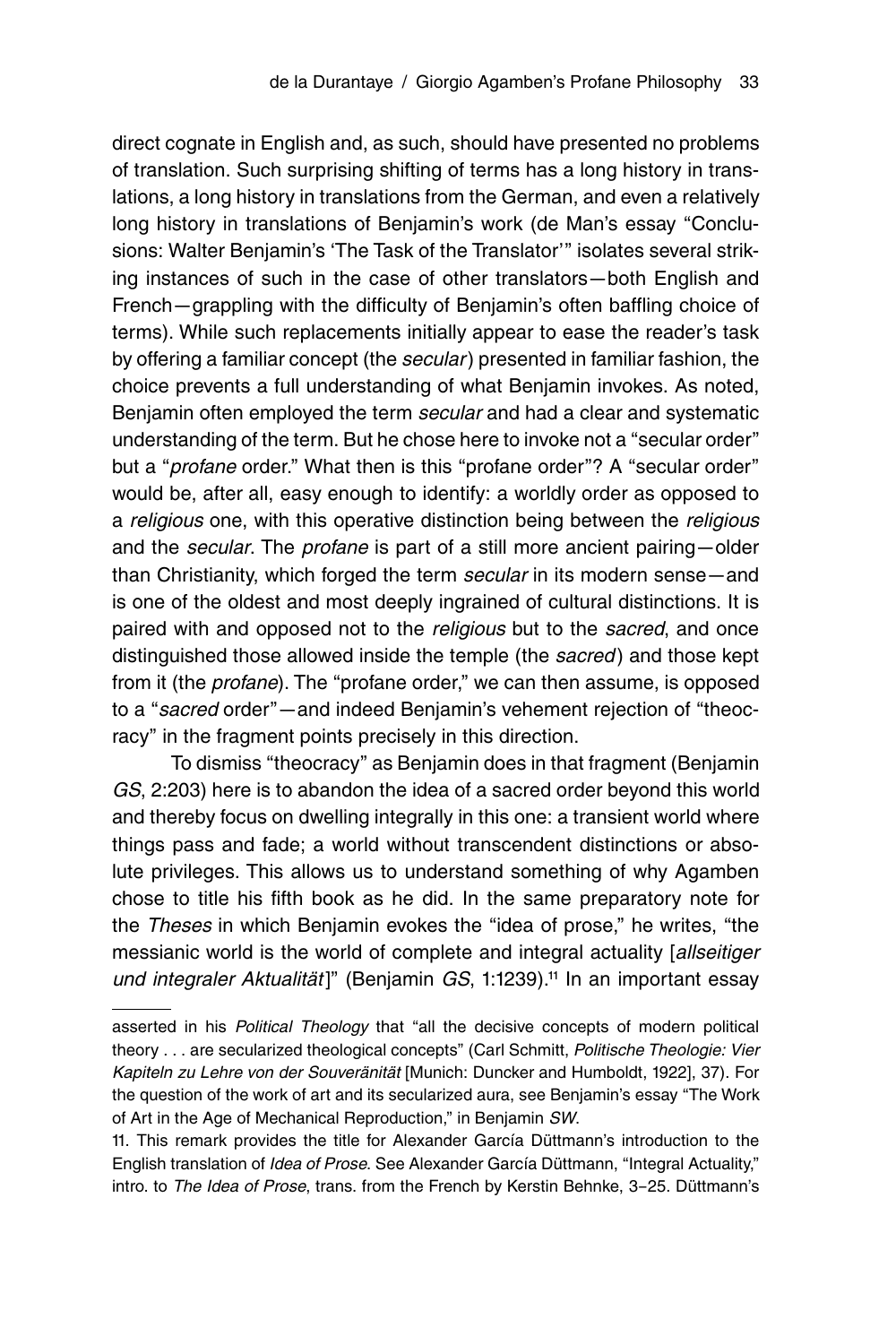direct cognate in English and, as such, should have presented no problems of translation. Such surprising shifting of terms has a long history in translations, a long history in translations from the German, and even a relatively long history in translations of Benjamin's work (de Man's essay "Conclusions: Walter Benjamin's 'The Task of the Translator'" isolates several striking instances of such in the case of other translators—both English and French—grappling with the difficulty of Benjamin's often baffling choice of terms). While such replacements initially appear to ease the reader's task by offering a familiar concept (the *secular*) presented in familiar fashion, the choice prevents a full understanding of what Benjamin invokes. As noted, Benjamin often employed the term *secular* and had a clear and systematic understanding of the term. But he chose here to invoke not a "secular order" but a "*profane* order." What then is this "profane order"? A "secular order" would be, after all, easy enough to identify: a worldly order as opposed to a *religious* one, with this operative distinction being between the *religious* and the *secular*. The *profane* is part of a still more ancient pairing—older than Christianity, which forged the term *secular* in its modern sense—and is one of the oldest and most deeply ingrained of cultural distinctions. It is paired with and opposed not to the *religious* but to the *sacred*, and once distinguished those allowed inside the temple (the *sacred* ) and those kept from it (the *profane*). The "profane order," we can then assume, is opposed to a "*sacred* order"—and indeed Benjamin's vehement rejection of "theocracy" in the fragment points precisely in this direction.

To dismiss "theocracy" as Benjamin does in that fragment (Benjamin *GS*, 2:203) here is to abandon the idea of a sacred order beyond this world and thereby focus on dwelling integrally in this one: a transient world where things pass and fade; a world without transcendent distinctions or absolute privileges. This allows us to understand something of why Agamben chose to title his fifth book as he did. In the same preparatory note for the *Theses* in which Benjamin evokes the "idea of prose," he writes, "the messianic world is the world of complete and integral actuality [*allseitiger*  und integraler Aktualität]" (Benjamin *GS*, 1:1239).<sup>11</sup> In an important essay

asserted in his *Political Theology* that "all the decisive concepts of modern political theory . . . are secularized theological concepts" (Carl Schmitt, *Politische Theologie: Vier Kapiteln zu Lehre von der Souveränität* [Munich: Duncker and Humboldt, 1922], 37). For the question of the work of art and its secularized aura, see Benjamin's essay "The Work of Art in the Age of Mechanical Reproduction," in Benjamin *SW*.

<sup>11.</sup> This remark provides the title for Alexander García Düttmann's introduction to the English translation of *Idea of Prose*. See Alexander García Düttmann, "Integral Actuality," intro. to *The Idea of Prose*, trans. from the French by Kerstin Behnke, 3–25. Düttmann's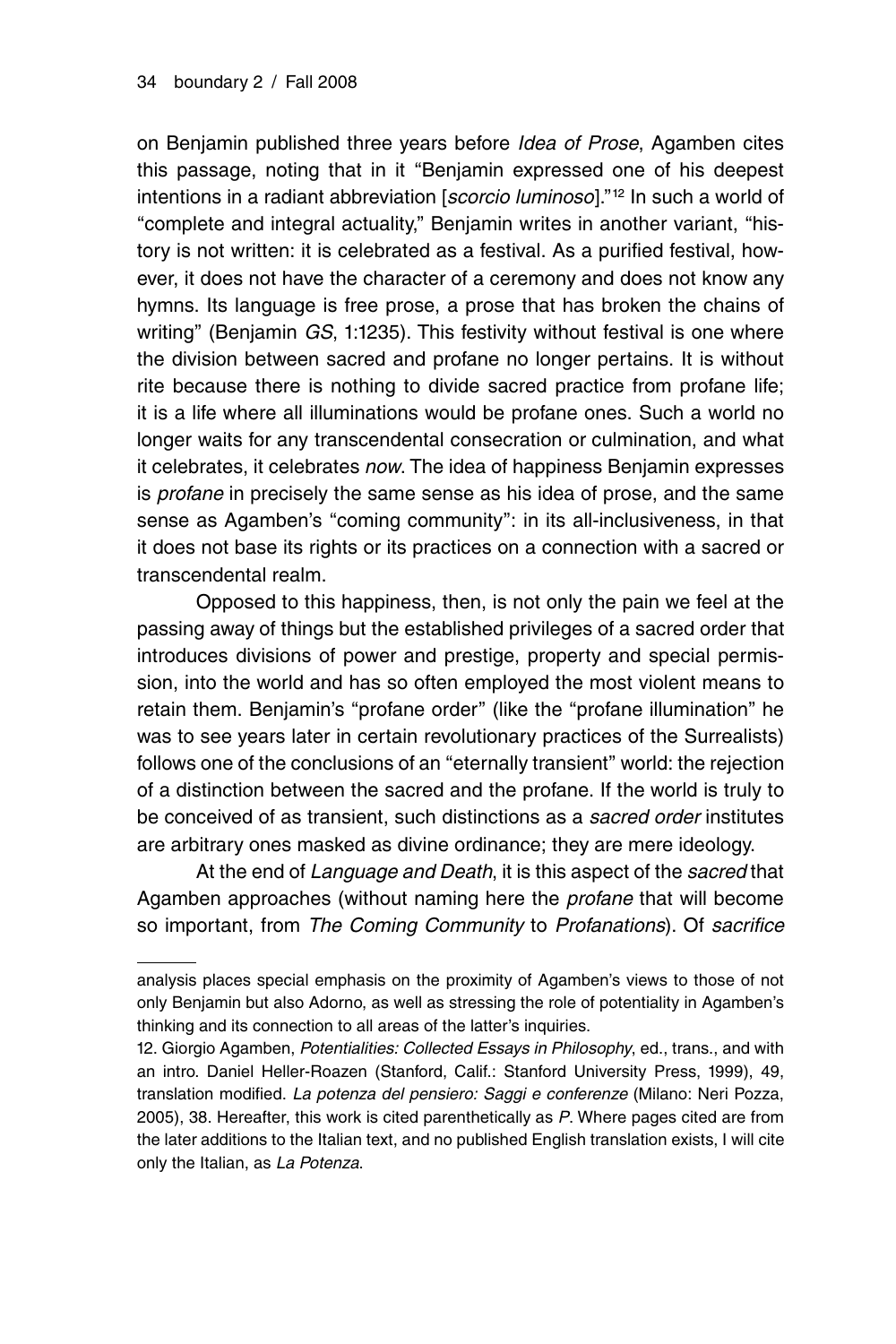on Benjamin published three years before *Idea of Prose*, Agamben cites this passage, noting that in it "Benjamin expressed one of his deepest intentions in a radiant abbreviation [scorcio luminoso]."<sup>12</sup> In such a world of "complete and integral actuality," Benjamin writes in another variant, "history is not written: it is celebrated as a festival. As a purified festival, however, it does not have the character of a ceremony and does not know any hymns. Its language is free prose, a prose that has broken the chains of writing" (Benjamin *GS*, 1:1235). This festivity without festival is one where the division between sacred and profane no longer pertains. It is without rite because there is nothing to divide sacred practice from profane life; it is a life where all illuminations would be profane ones. Such a world no longer waits for any transcendental consecration or culmination, and what it celebrates, it celebrates *now*. The idea of happiness Benjamin expresses is *profane* in precisely the same sense as his idea of prose, and the same sense as Agamben's "coming community": in its all-inclusiveness, in that it does not base its rights or its practices on a connection with a sacred or transcendental realm.

Opposed to this happiness, then, is not only the pain we feel at the passing away of things but the established privileges of a sacred order that introduces divisions of power and prestige, property and special permission, into the world and has so often employed the most violent means to retain them. Benjamin's "profane order" (like the "profane illumination" he was to see years later in certain revolutionary practices of the Surrealists) follows one of the conclusions of an "eternally transient" world: the rejection of a distinction between the sacred and the profane. If the world is truly to be conceived of as transient, such distinctions as a *sacred order* institutes are arbitrary ones masked as divine ordinance; they are mere ideology.

At the end of *Language and Death*, it is this aspect of the *sacred* that Agamben approaches (without naming here the *profane* that will become so important, from *The Coming Community* to *Profanations*). Of *sacrifice*

analysis places special emphasis on the proximity of Agamben's views to those of not only Benjamin but also Adorno, as well as stressing the role of potentiality in Agamben's thinking and its connection to all areas of the latter's inquiries.

<sup>12.</sup> Giorgio Agamben, *Potentialities: Collected Essays in Philosophy*, ed., trans., and with an intro. Daniel Heller-Roazen (Stanford, Calif.: Stanford University Press, 1999), 49, translation modified. *La potenza del pensiero: Saggi e conferenze* (Milano: Neri Pozza, 2005), 38. Hereafter, this work is cited parenthetically as *P*. Where pages cited are from the later additions to the Italian text, and no published English translation exists, I will cite only the Italian, as *La Potenza*.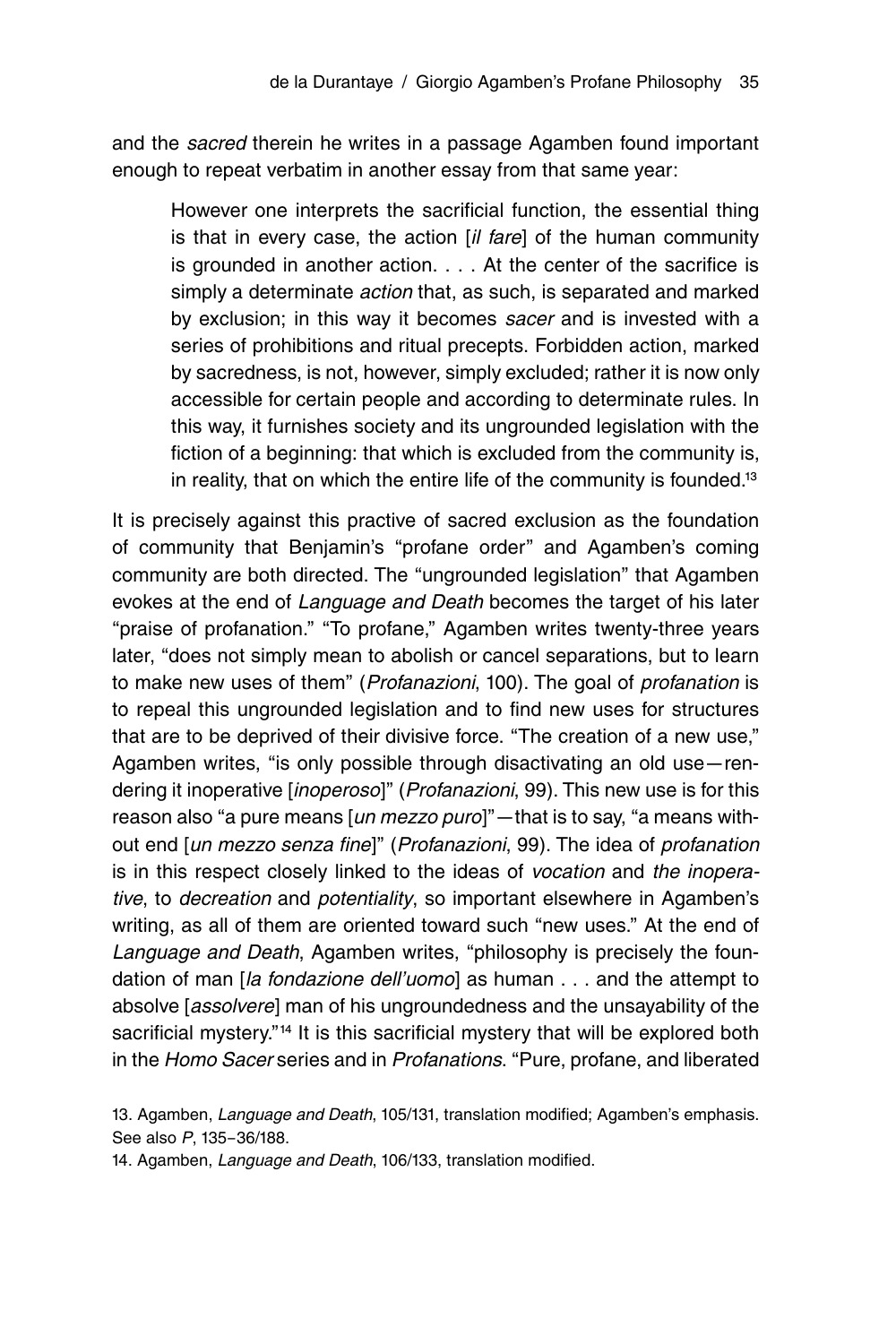and the *sacred* therein he writes in a passage Agamben found important enough to repeat verbatim in another essay from that same year:

However one interprets the sacrificial function, the essential thing is that in every case, the action [*il fare*] of the human community is grounded in another action. . . . At the center of the sacrifice is simply a determinate *action* that, as such, is separated and marked by exclusion; in this way it becomes *sacer* and is invested with a series of prohibitions and ritual precepts. Forbidden action, marked by sacredness, is not, however, simply excluded; rather it is now only accessible for certain people and according to determinate rules. In this way, it furnishes society and its ungrounded legislation with the fiction of a beginning: that which is excluded from the community is, in reality, that on which the entire life of the community is founded.<sup>13</sup>

It is precisely against this practive of sacred exclusion as the foundation of community that Benjamin's "profane order" and Agamben's coming community are both directed. The "ungrounded legislation" that Agamben evokes at the end of *Language and Death* becomes the target of his later "praise of profanation." "To profane," Agamben writes twenty-three years later, "does not simply mean to abolish or cancel separations, but to learn to make new uses of them" (*Profanazioni*, 100). The goal of *profanation* is to repeal this ungrounded legislation and to find new uses for structures that are to be deprived of their divisive force. "The creation of a new use," Agamben writes, "is only possible through disactivating an old use—rendering it inoperative [*inoperoso*]" (*Profanazioni*, 99). This new use is for this reason also "a pure means [*un mezzo puro*]"—that is to say, "a means without end [*un mezzo senza fine*]" (*Profanazioni*, 99). The idea of *profanation* is in this respect closely linked to the ideas of *vocation* and *the inoperative*, to *decreation* and *potentiality*, so important elsewhere in Agamben's writing, as all of them are oriented toward such "new uses." At the end of *Language and Death*, Agamben writes, "philosophy is precisely the foundation of man [*la fondazione dell'uomo*] as human . . . and the attempt to absolve [*assolvere*] man of his ungroundedness and the unsayability of the sacrificial mystery."<sup>14</sup> It is this sacrificial mystery that will be explored both in the *Homo Sacer* series and in *Profanations*. "Pure, profane, and liberated

13. Agamben, *Language and Death*, 105/131, translation modified; Agamben's emphasis. See also *P*, 135–36/188.

14. Agamben, *Language and Death*, 106/133, translation modified.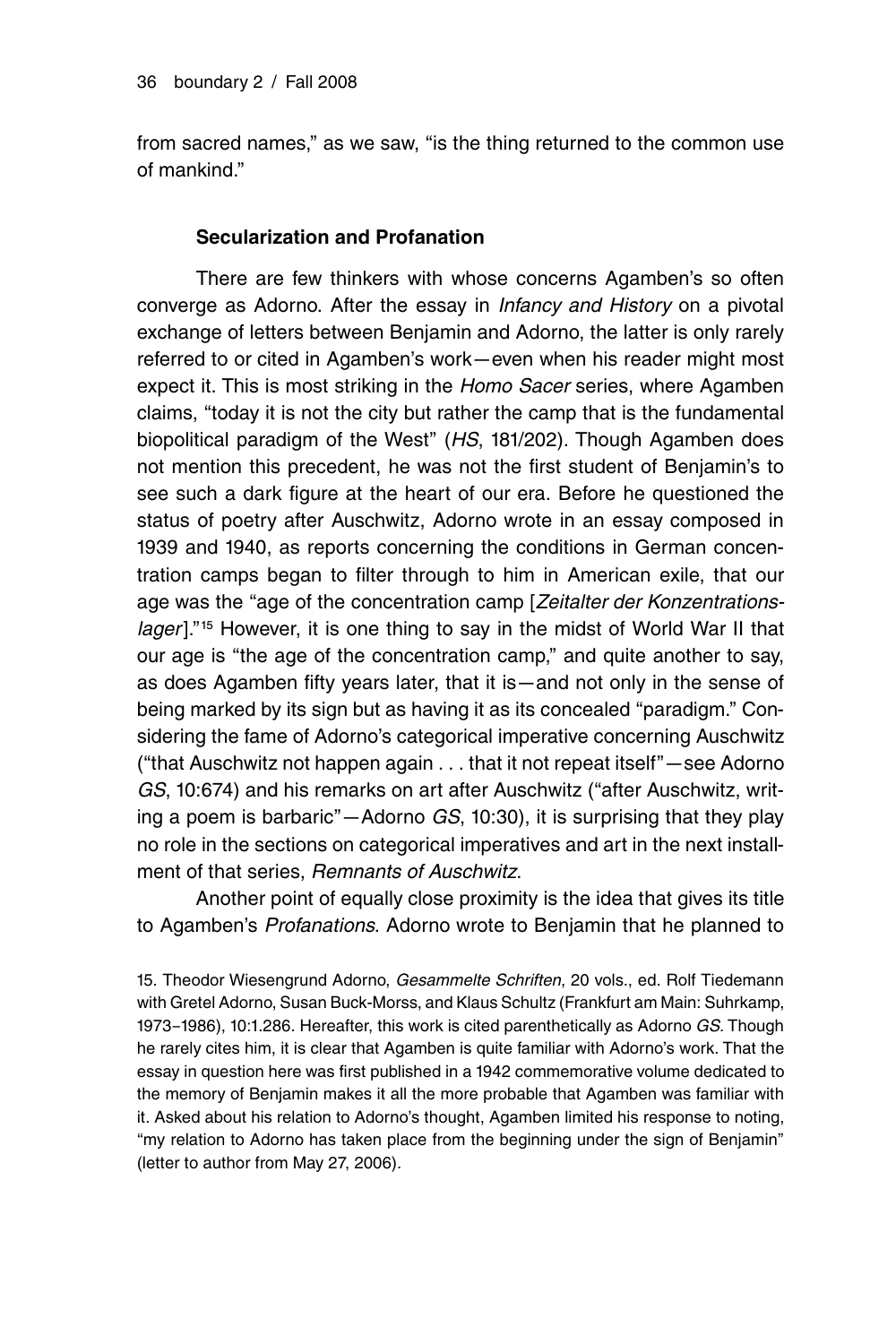from sacred names," as we saw, "is the thing returned to the common use of mankind."

## **Secularization and Profanation**

There are few thinkers with whose concerns Agamben's so often converge as Adorno. After the essay in *Infancy and History* on a pivotal exchange of letters between Benjamin and Adorno, the latter is only rarely referred to or cited in Agamben's work—even when his reader might most expect it. This is most striking in the *Homo Sacer* series, where Agamben claims, "today it is not the city but rather the camp that is the fundamental biopolitical paradigm of the West" (*HS*, 181/202). Though Agamben does not mention this precedent, he was not the first student of Benjamin's to see such a dark figure at the heart of our era. Before he questioned the status of poetry after Auschwitz, Adorno wrote in an essay composed in 1939 and 1940, as reports concerning the conditions in German concentration camps began to filter through to him in American exile, that our age was the "age of the concentration camp [*Zeitalter der Konzentrationslager*]."<sup>15</sup> However, it is one thing to say in the midst of World War II that our age is "the age of the concentration camp," and quite another to say, as does Agamben fifty years later, that it is—and not only in the sense of being marked by its sign but as having it as its concealed "paradigm." Considering the fame of Adorno's categorical imperative concerning Auschwitz ("that Auschwitz not happen again . . . that it not repeat itself"—see Adorno *GS*, 10:674) and his remarks on art after Auschwitz ("after Auschwitz, writing a poem is barbaric"—Adorno *GS*, 10:30), it is surprising that they play no role in the sections on categorical imperatives and art in the next installment of that series, *Remnants of Auschwitz*.

Another point of equally close proximity is the idea that gives its title to Agamben's *Profanations*. Adorno wrote to Benjamin that he planned to

15. Theodor Wiesengrund Adorno, *Gesammelte Schriften*, 20 vols., ed. Rolf Tiedemann with Gretel Adorno, Susan Buck-Morss, and Klaus Schultz (Frankfurt am Main: Suhrkamp, 1973–1986), 10:1.286. Hereafter, this work is cited parenthetically as Adorno *GS*. Though he rarely cites him, it is clear that Agamben is quite familiar with Adorno's work. That the essay in question here was first published in a 1942 commemorative volume dedicated to the memory of Benjamin makes it all the more probable that Agamben was familiar with it. Asked about his relation to Adorno's thought, Agamben limited his response to noting, "my relation to Adorno has taken place from the beginning under the sign of Benjamin" (letter to author from May 27, 2006).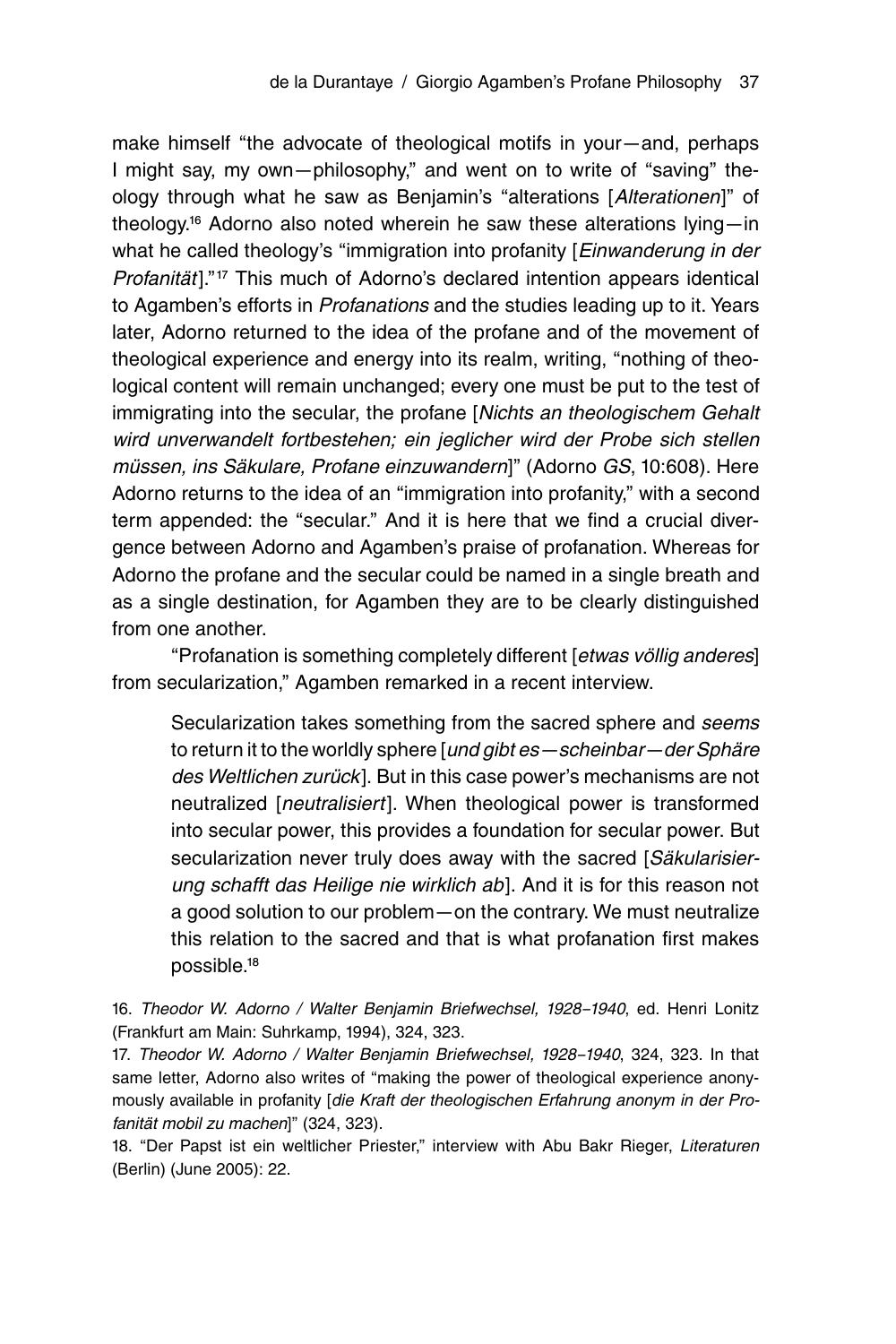make himself "the advocate of theological motifs in your—and, perhaps I might say, my own—philosophy," and went on to write of "saving" theology through what he saw as Benjamin's "alterations [*Alterationen*]" of theology.<sup>16</sup> Adorno also noted wherein he saw these alterations lying-in what he called theology's "immigration into profanity [*Einwanderung in der Profanität*]."<sup>17</sup> This much of Adorno's declared intention appears identical to Agamben's efforts in *Profanations* and the studies leading up to it. Years later, Adorno returned to the idea of the profane and of the movement of theological experience and energy into its realm, writing, "nothing of theological content will remain unchanged; every one must be put to the test of immigrating into the secular, the profane [*Nichts an theologischem Gehalt wird unverwandelt fortbestehen; ein jeglicher wird der Probe sich stellen müssen, ins Säkulare, Profane einzuwandern*]" (Adorno *GS*, 10:608). Here Adorno returns to the idea of an "immigration into profanity," with a second term appended: the "secular." And it is here that we find a crucial divergence between Adorno and Agamben's praise of profanation. Whereas for Adorno the profane and the secular could be named in a single breath and as a single destination, for Agamben they are to be clearly distinguished from one another.

"Profanation is something completely different [*etwas völlig anderes*] from secularization," Agamben remarked in a recent interview.

Secularization takes something from the sacred sphere and *seems* to return it to the worldly sphere [*und gibt es—scheinbar—der Sphäre des Weltlichen zurück*]. But in this case power's mechanisms are not neutralized [*neutralisiert*]. When theological power is transformed into secular power, this provides a foundation for secular power. But secularization never truly does away with the sacred [*Säkularisierung schafft das Heilige nie wirklich ab*]. And it is for this reason not a good solution to our problem—on the contrary. We must neutralize this relation to the sacred and that is what profanation first makes possible.<sup>18</sup>

16. *Theodor W. Adorno / Walter Benjamin Briefwechsel, 1928–1940*, ed. Henri Lonitz (Frankfurt am Main: Suhrkamp, 1994), 324, 323.

17. *Theodor W. Adorno / Walter Benjamin Briefwechsel, 1928–1940*, 324, 323. In that same letter, Adorno also writes of "making the power of theological experience anonymously available in profanity [*die Kraft der theologischen Erfahrung anonym in der Profanität mobil zu machen*]" (324, 323).

18. "Der Papst ist ein weltlicher Priester," interview with Abu Bakr Rieger, *Literaturen* (Berlin) (June 2005): 22.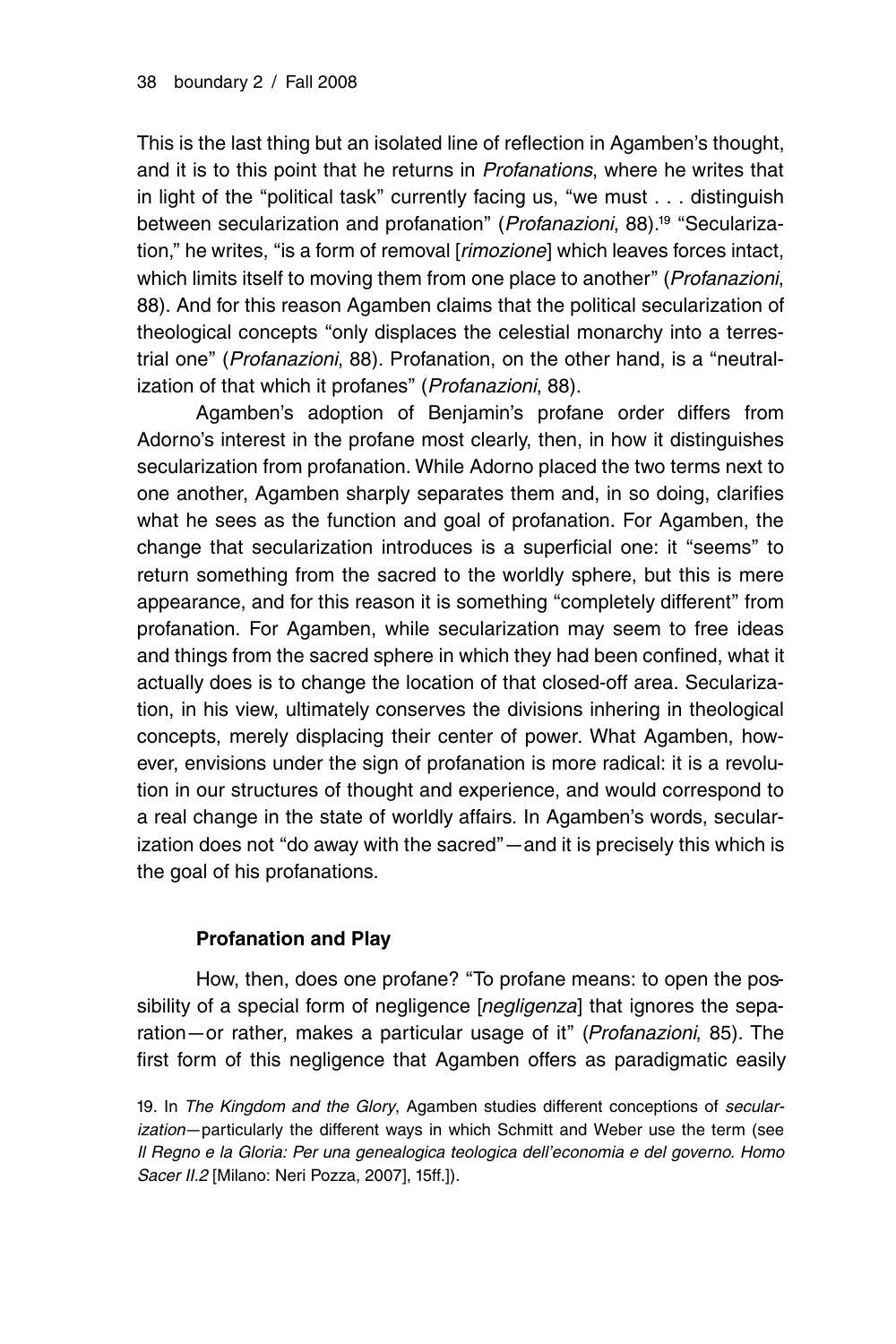This is the last thing but an isolated line of reflection in Agamben's thought, and it is to this point that he returns in *Profanations*, where he writes that in light of the "political task" currently facing us, "we must . . . distinguish between secularization and profanation" (*Profanazioni*, 88).<sup>19</sup> "Secularization," he writes, "is a form of removal [*rimozione*] which leaves forces intact, which limits itself to moving them from one place to another" (*Profanazioni*, 88). And for this reason Agamben claims that the political secularization of theological concepts "only displaces the celestial monarchy into a terrestrial one" (*Profanazioni*, 88). Profanation, on the other hand, is a "neutralization of that which it profanes" (*Profanazioni*, 88).

Agamben's adoption of Benjamin's profane order differs from Adorno's interest in the profane most clearly, then, in how it distinguishes secularization from profanation. While Adorno placed the two terms next to one another, Agamben sharply separates them and, in so doing, clarifies what he sees as the function and goal of profanation. For Agamben, the change that secularization introduces is a superficial one: it "seems" to return something from the sacred to the worldly sphere, but this is mere appearance, and for this reason it is something "completely different" from profanation. For Agamben, while secularization may seem to free ideas and things from the sacred sphere in which they had been confined, what it actually does is to change the location of that closed-off area. Secularization, in his view, ultimately conserves the divisions inhering in theological concepts, merely displacing their center of power. What Agamben, however, envisions under the sign of profanation is more radical: it is a revolution in our structures of thought and experience, and would correspond to a real change in the state of worldly affairs. In Agamben's words, secularization does not "do away with the sacred"—and it is precisely this which is the goal of his profanations.

# **Profanation and Play**

How, then, does one profane? "To profane means: to open the possibility of a special form of negligence [*negligenza*] that ignores the separation—or rather, makes a particular usage of it" (*Profanazioni*, 85). The first form of this negligence that Agamben offers as paradigmatic easily

19. In *The Kingdom and the Glory*, Agamben studies different conceptions of *secularization*—particularly the different ways in which Schmitt and Weber use the term (see *Il Regno e la Gloria: Per una genealogica teologica dell'economia e del governo. Homo Sacer II.2* [Milano: Neri Pozza, 2007], 15ff.]).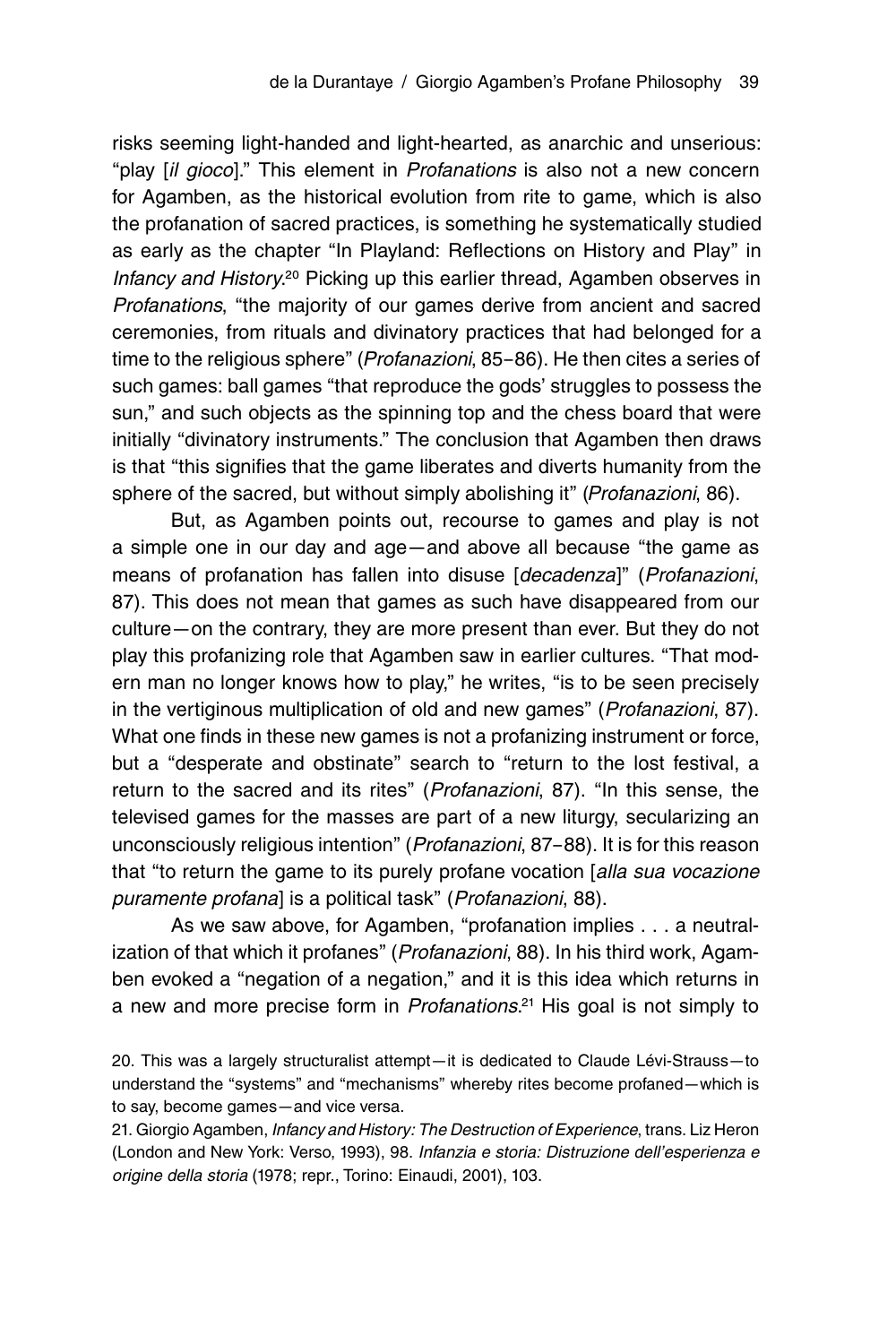risks seeming light-handed and light-hearted, as anarchic and unserious: "play [*il gioco*]." This element in *Profanations* is also not a new concern for Agamben, as the historical evolution from rite to game, which is also the profanation of sacred practices, is something he systematically studied as early as the chapter "In Playland: Reflections on History and Play" in Infancy and History.<sup>20</sup> Picking up this earlier thread, Agamben observes in *Profanations*, "the majority of our games derive from ancient and sacred ceremonies, from rituals and divinatory practices that had belonged for a time to the religious sphere" (*Profanazioni*, 85–86). He then cites a series of such games: ball games "that reproduce the gods' struggles to possess the sun," and such objects as the spinning top and the chess board that were initially "divinatory instruments." The conclusion that Agamben then draws is that "this signifies that the game liberates and diverts humanity from the sphere of the sacred, but without simply abolishing it" (*Profanazioni*, 86).

But, as Agamben points out, recourse to games and play is not a simple one in our day and age—and above all because "the game as means of profanation has fallen into disuse [*decadenza*]" (*Profanazioni*, 87). This does not mean that games as such have disappeared from our culture—on the contrary, they are more present than ever. But they do not play this profanizing role that Agamben saw in earlier cultures. "That modern man no longer knows how to play," he writes, "is to be seen precisely in the vertiginous multiplication of old and new games" (*Profanazioni*, 87). What one finds in these new games is not a profanizing instrument or force, but a "desperate and obstinate" search to "return to the lost festival, a return to the sacred and its rites" (*Profanazioni*, 87). "In this sense, the televised games for the masses are part of a new liturgy, secularizing an unconsciously religious intention" (*Profanazioni*, 87–88). It is for this reason that "to return the game to its purely profane vocation [*alla sua vocazione puramente profana*] is a political task" (*Profanazioni*, 88).

As we saw above, for Agamben, "profanation implies . . . a neutralization of that which it profanes" (*Profanazioni*, 88). In his third work, Agamben evoked a "negation of a negation," and it is this idea which returns in a new and more precise form in *Profanations*.<sup>21</sup> His goal is not simply to

<sup>20.</sup> This was a largely structuralist attempt—it is dedicated to Claude Lévi-Strauss—to understand the "systems" and "mechanisms" whereby rites become profaned—which is to say, become games—and vice versa.

<sup>21.</sup> Giorgio Agamben, *Infancy and History: The Destruction of Experience*, trans. Liz Heron (London and New York: Verso, 1993), 98. *Infanzia e storia: Distruzione dell'esperienza e origine della storia* (1978; repr., Torino: Einaudi, 2001), 103.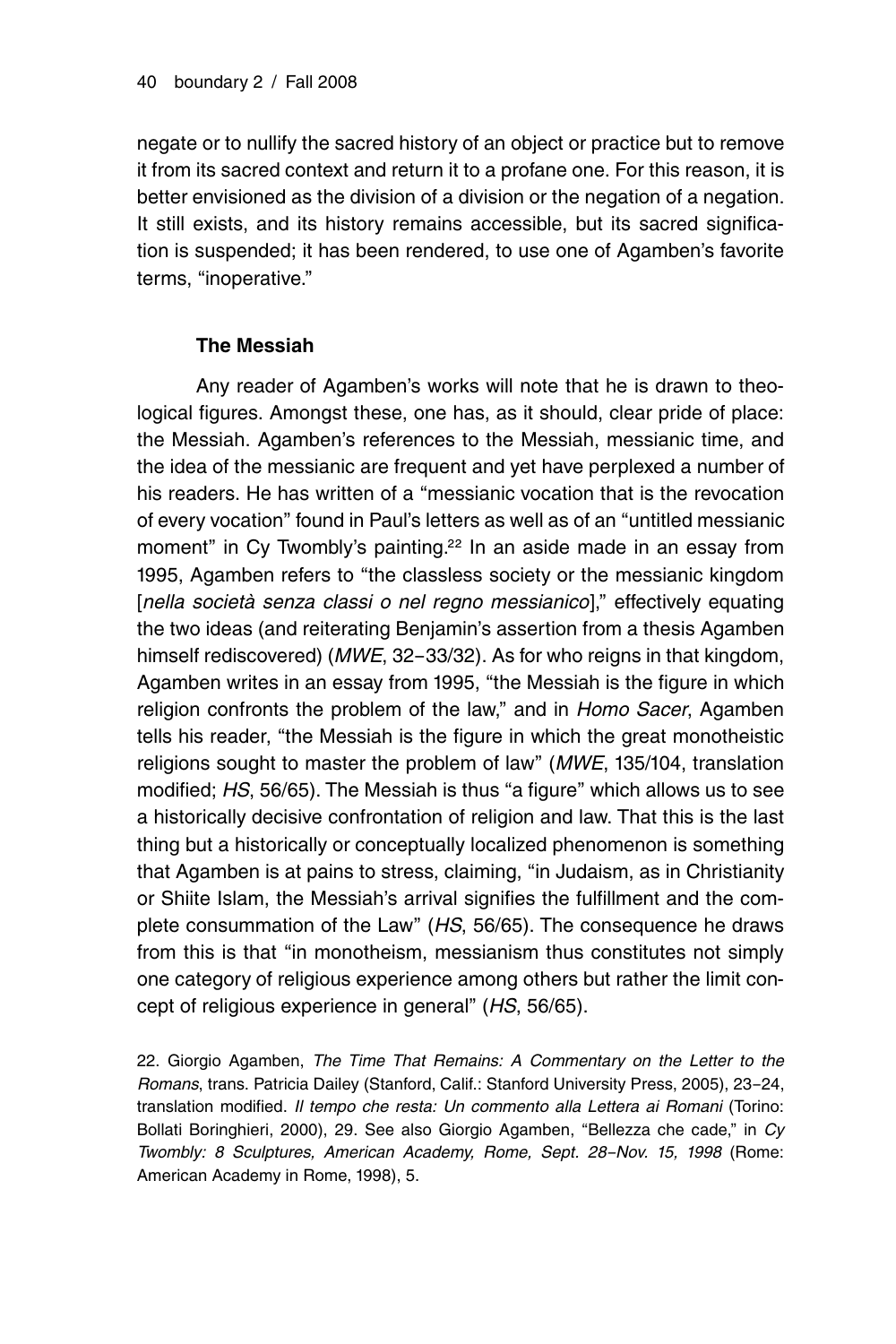negate or to nullify the sacred history of an object or practice but to remove it from its sacred context and return it to a profane one. For this reason, it is better envisioned as the division of a division or the negation of a negation. It still exists, and its history remains accessible, but its sacred signification is suspended; it has been rendered, to use one of Agamben's favorite terms, "inoperative."

## **The Messiah**

Any reader of Agamben's works will note that he is drawn to theological figures. Amongst these, one has, as it should, clear pride of place: the Messiah. Agamben's references to the Messiah, messianic time, and the idea of the messianic are frequent and yet have perplexed a number of his readers. He has written of a "messianic vocation that is the revocation of every vocation" found in Paul's letters as well as of an "untitled messianic moment" in Cy Twombly's painting.<sup>22</sup> In an aside made in an essay from 1995, Agamben refers to "the classless society or the messianic kingdom [*nella società senza classi o nel regno messianico*]," effectively equating the two ideas (and reiterating Benjamin's assertion from a thesis Agamben himself rediscovered) (*MWE*, 32–33/32). As for who reigns in that kingdom, Agamben writes in an essay from 1995, "the Messiah is the figure in which religion confronts the problem of the law," and in *Homo Sacer*, Agamben tells his reader, "the Messiah is the figure in which the great monotheistic religions sought to master the problem of law" (*MWE*, 135/104, translation modified; *HS*, 56/65). The Messiah is thus "a figure" which allows us to see a historically decisive confrontation of religion and law. That this is the last thing but a historically or conceptually localized phenomenon is something that Agamben is at pains to stress, claiming, "in Judaism, as in Christianity or Shiite Islam, the Messiah's arrival signifies the fulfillment and the complete consummation of the Law" (*HS*, 56/65). The consequence he draws from this is that "in monotheism, messianism thus constitutes not simply one category of religious experience among others but rather the limit concept of religious experience in general" (*HS*, 56/65).

22. Giorgio Agamben, *The Time That Remains: A Commentary on the Letter to the Romans*, trans. Patricia Dailey (Stanford, Calif.: Stanford University Press, 2005), 23–24, translation modified. *Il tempo che resta: Un commento alla Lettera ai Romani* (Torino: Bollati Boringhieri, 2000), 29. See also Giorgio Agamben, "Bellezza che cade," in *Cy Twombly: 8 Sculptures, American Academy, Rome, Sept. 28–Nov. 15, 1998* (Rome: American Academy in Rome, 1998), 5.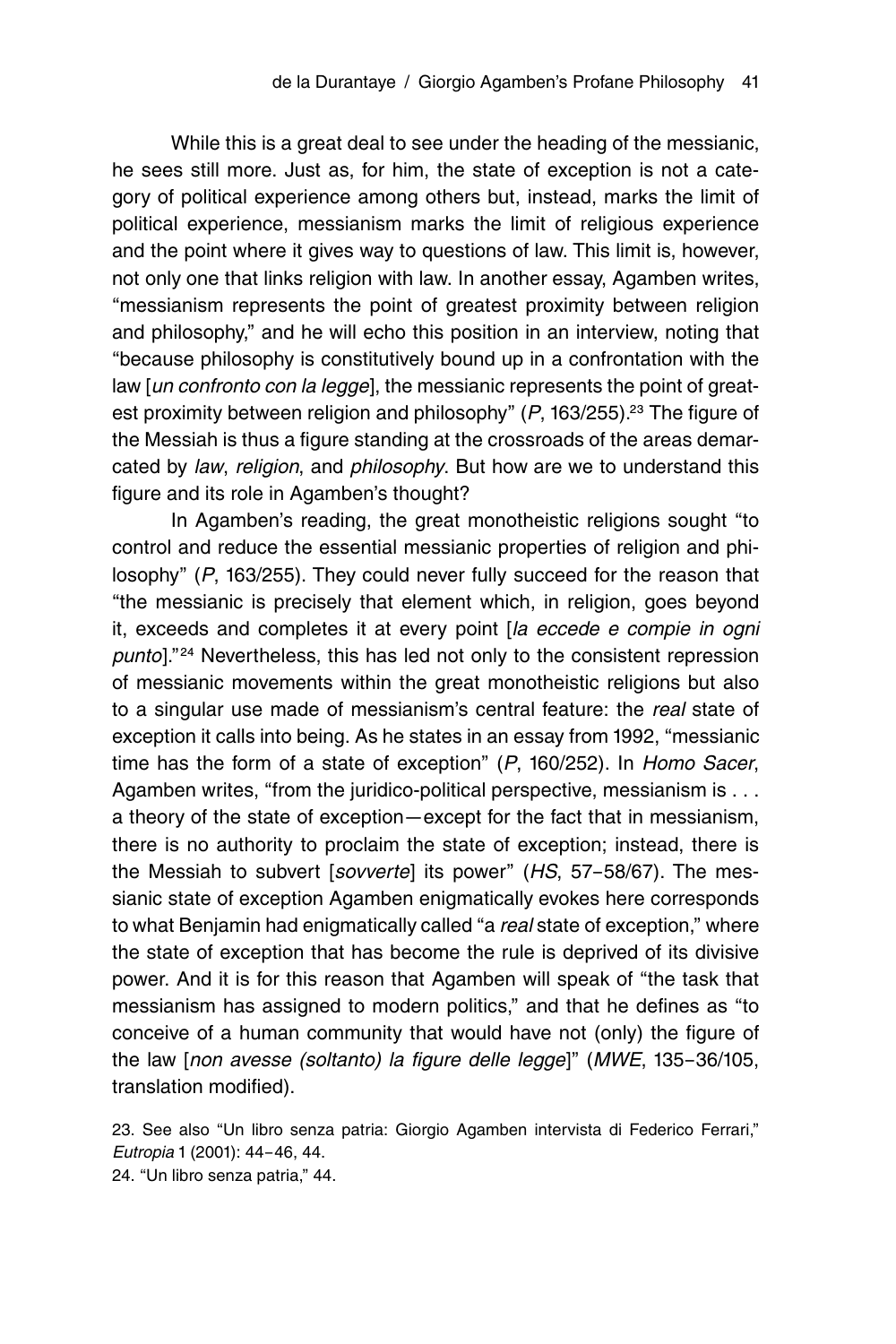While this is a great deal to see under the heading of the messianic, he sees still more. Just as, for him, the state of exception is not a category of political experience among others but, instead, marks the limit of political experience, messianism marks the limit of religious experience and the point where it gives way to questions of law. This limit is, however, not only one that links religion with law. In another essay, Agamben writes, "messianism represents the point of greatest proximity between religion and philosophy," and he will echo this position in an interview, noting that "because philosophy is constitutively bound up in a confrontation with the law [*un confronto con la legge*], the messianic represents the point of greatest proximity between religion and philosophy" (P, 163/255).<sup>23</sup> The figure of the Messiah is thus a figure standing at the crossroads of the areas demarcated by *law*, *religion*, and *philosophy*. But how are we to understand this figure and its role in Agamben's thought?

In Agamben's reading, the great monotheistic religions sought "to control and reduce the essential messianic properties of religion and philosophy" (*P*, 163/255). They could never fully succeed for the reason that "the messianic is precisely that element which, in religion, goes beyond it, exceeds and completes it at every point [*la eccede e compie in ogni*  punto]."<sup>24</sup> Nevertheless, this has led not only to the consistent repression of messianic movements within the great monotheistic religions but also to a singular use made of messianism's central feature: the *real* state of exception it calls into being. As he states in an essay from 1992, "messianic time has the form of a state of exception" (*P*, 160/252). In *Homo Sacer*, Agamben writes, "from the juridico-political perspective, messianism is . . . a theory of the state of exception—except for the fact that in messianism, there is no authority to proclaim the state of exception; instead, there is the Messiah to subvert [*sovverte*] its power" (*HS*, 57–58/67). The messianic state of exception Agamben enigmatically evokes here corresponds to what Benjamin had enigmatically called "a *real* state of exception," where the state of exception that has become the rule is deprived of its divisive power. And it is for this reason that Agamben will speak of "the task that messianism has assigned to modern politics," and that he defines as "to conceive of a human community that would have not (only) the figure of the law [*non avesse (soltanto) la figure delle legge*]" (*MWE*, 135–36/105, translation modified).

23. See also "Un libro senza patria: Giorgio Agamben intervista di Federico Ferrari," *Eutropia* 1 (2001): 44–46, 44. 24. "Un libro senza patria," 44.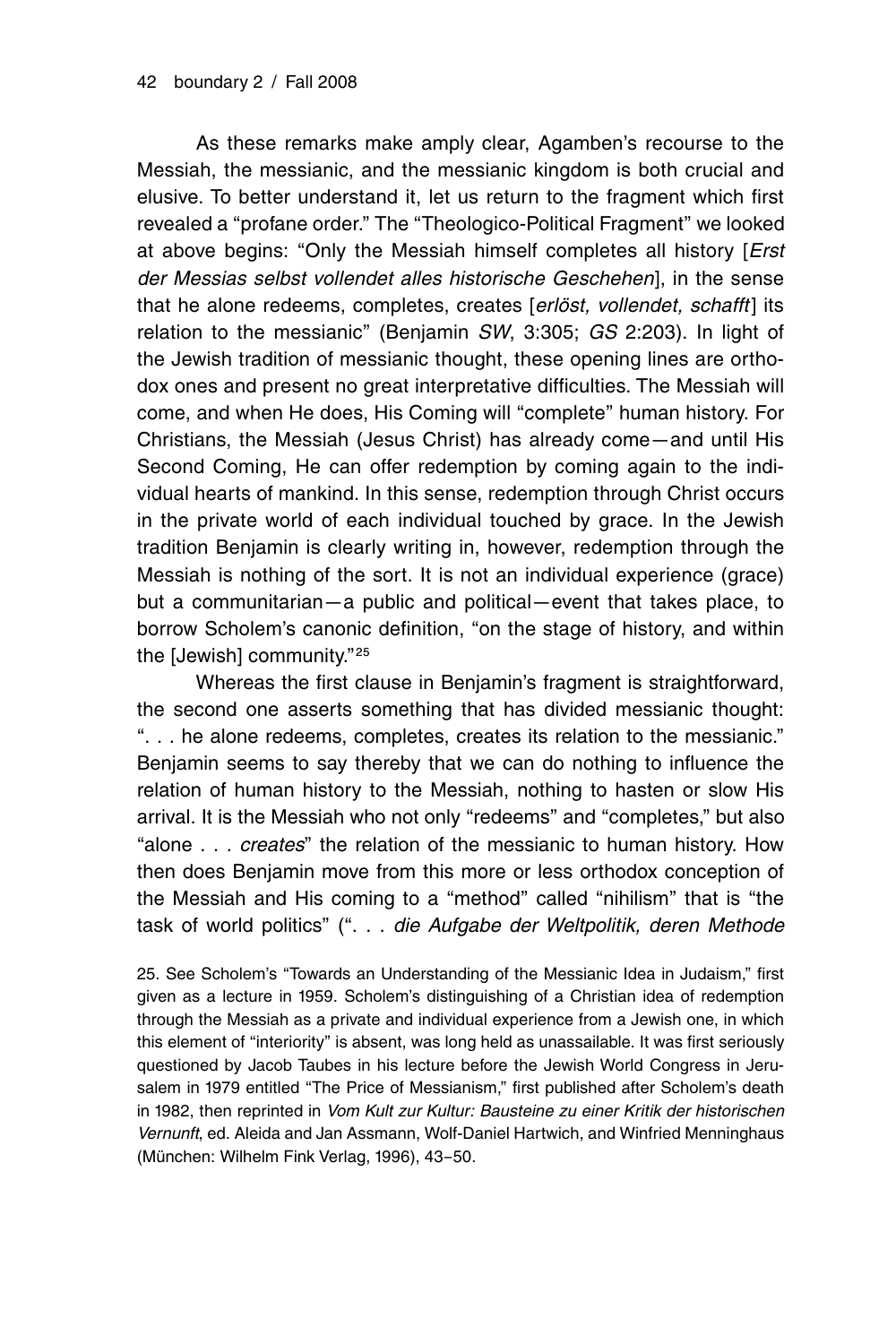As these remarks make amply clear, Agamben's recourse to the Messiah, the messianic, and the messianic kingdom is both crucial and elusive. To better understand it, let us return to the fragment which first revealed a "profane order." The "Theologico-Political Fragment" we looked at above begins: "Only the Messiah himself completes all history [*Erst der Messias selbst vollendet alles historische Geschehen*], in the sense that he alone redeems, completes, creates [*erlöst, vollendet, schafft*] its relation to the messianic" (Benjamin *SW*, 3:305; *GS* 2:203). In light of the Jewish tradition of messianic thought, these opening lines are orthodox ones and present no great interpretative difficulties. The Messiah will come, and when He does, His Coming will "complete" human history. For Christians, the Messiah (Jesus Christ) has already come—and until His Second Coming, He can offer redemption by coming again to the individual hearts of mankind. In this sense, redemption through Christ occurs in the private world of each individual touched by grace. In the Jewish tradition Benjamin is clearly writing in, however, redemption through the Messiah is nothing of the sort. It is not an individual experience (grace) but a communitarian—a public and political—event that takes place, to borrow Scholem's canonic definition, "on the stage of history, and within the [Jewish] community."<sup>25</sup>

Whereas the first clause in Benjamin's fragment is straightforward, the second one asserts something that has divided messianic thought: ". . . he alone redeems, completes, creates its relation to the messianic." Benjamin seems to say thereby that we can do nothing to influence the relation of human history to the Messiah, nothing to hasten or slow His arrival. It is the Messiah who not only "redeems" and "completes," but also "alone . . . *creates*" the relation of the messianic to human history. How then does Benjamin move from this more or less orthodox conception of the Messiah and His coming to a "method" called "nihilism" that is "the task of world politics" (". . . *die Aufgabe der Weltpolitik, deren Methode* 

25. See Scholem's "Towards an Understanding of the Messianic Idea in Judaism," first given as a lecture in 1959. Scholem's distinguishing of a Christian idea of redemption through the Messiah as a private and individual experience from a Jewish one, in which this element of "interiority" is absent, was long held as unassailable. It was first seriously questioned by Jacob Taubes in his lecture before the Jewish World Congress in Jerusalem in 1979 entitled "The Price of Messianism," first published after Scholem's death in 1982, then reprinted in *Vom Kult zur Kultur: Bausteine zu einer Kritik der historischen Vernunft*, ed. Aleida and Jan Assmann, Wolf-Daniel Hartwich, and Winfried Menninghaus (München: Wilhelm Fink Verlag, 1996), 43–50.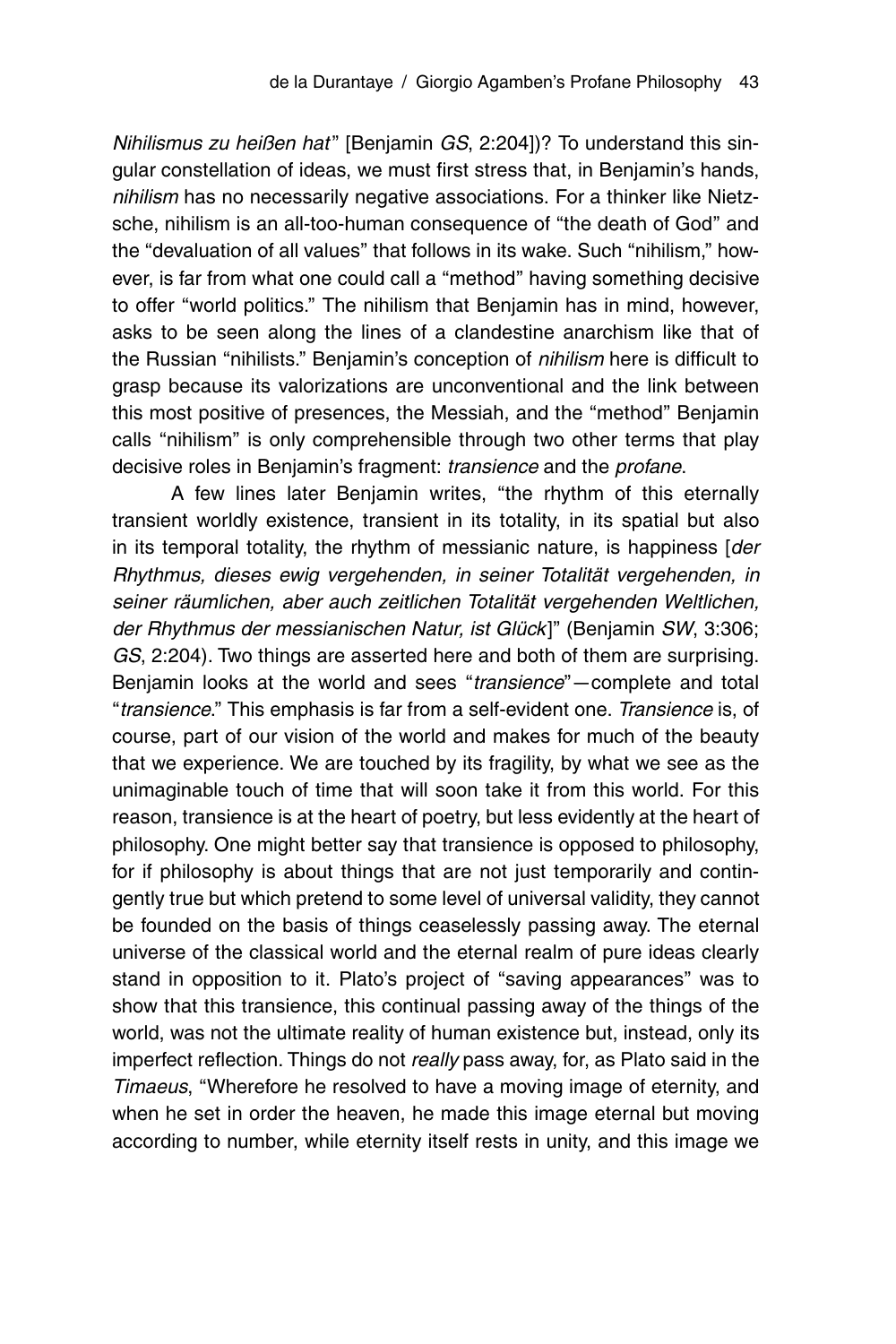*Nihilismus zu heißen hat*" [Benjamin *GS*, 2:204])? To understand this singular constellation of ideas, we must first stress that, in Benjamin's hands, *nihilism* has no necessarily negative associations. For a thinker like Nietzsche, nihilism is an all-too-human consequence of "the death of God" and the "devaluation of all values" that follows in its wake. Such "nihilism," however, is far from what one could call a "method" having something decisive to offer "world politics." The nihilism that Benjamin has in mind, however, asks to be seen along the lines of a clandestine anarchism like that of the Russian "nihilists." Benjamin's conception of *nihilism* here is difficult to grasp because its valorizations are unconventional and the link between this most positive of presences, the Messiah, and the "method" Benjamin calls "nihilism" is only comprehensible through two other terms that play decisive roles in Benjamin's fragment: *transience* and the *profane*.

A few lines later Benjamin writes, "the rhythm of this eternally transient worldly existence, transient in its totality, in its spatial but also in its temporal totality, the rhythm of messianic nature, is happiness [*der Rhythmus, dieses ewig vergehenden, in seiner Totalität vergehenden, in seiner räumlichen, aber auch zeitlichen Totalität vergehenden Weltlichen, der Rhythmus der messianischen Natur, ist Glück*]" (Benjamin *SW*, 3:306; *GS*, 2:204). Two things are asserted here and both of them are surprising. Benjamin looks at the world and sees "*transience*"—complete and total "*transience*." This emphasis is far from a self-evident one. *Transience* is, of course, part of our vision of the world and makes for much of the beauty that we experience. We are touched by its fragility, by what we see as the unimaginable touch of time that will soon take it from this world. For this reason, transience is at the heart of poetry, but less evidently at the heart of philosophy. One might better say that transience is opposed to philosophy, for if philosophy is about things that are not just temporarily and contingently true but which pretend to some level of universal validity, they cannot be founded on the basis of things ceaselessly passing away. The eternal universe of the classical world and the eternal realm of pure ideas clearly stand in opposition to it. Plato's project of "saving appearances" was to show that this transience, this continual passing away of the things of the world, was not the ultimate reality of human existence but, instead, only its imperfect reflection. Things do not *really* pass away, for, as Plato said in the *Timaeus*, "Wherefore he resolved to have a moving image of eternity, and when he set in order the heaven, he made this image eternal but moving according to number, while eternity itself rests in unity, and this image we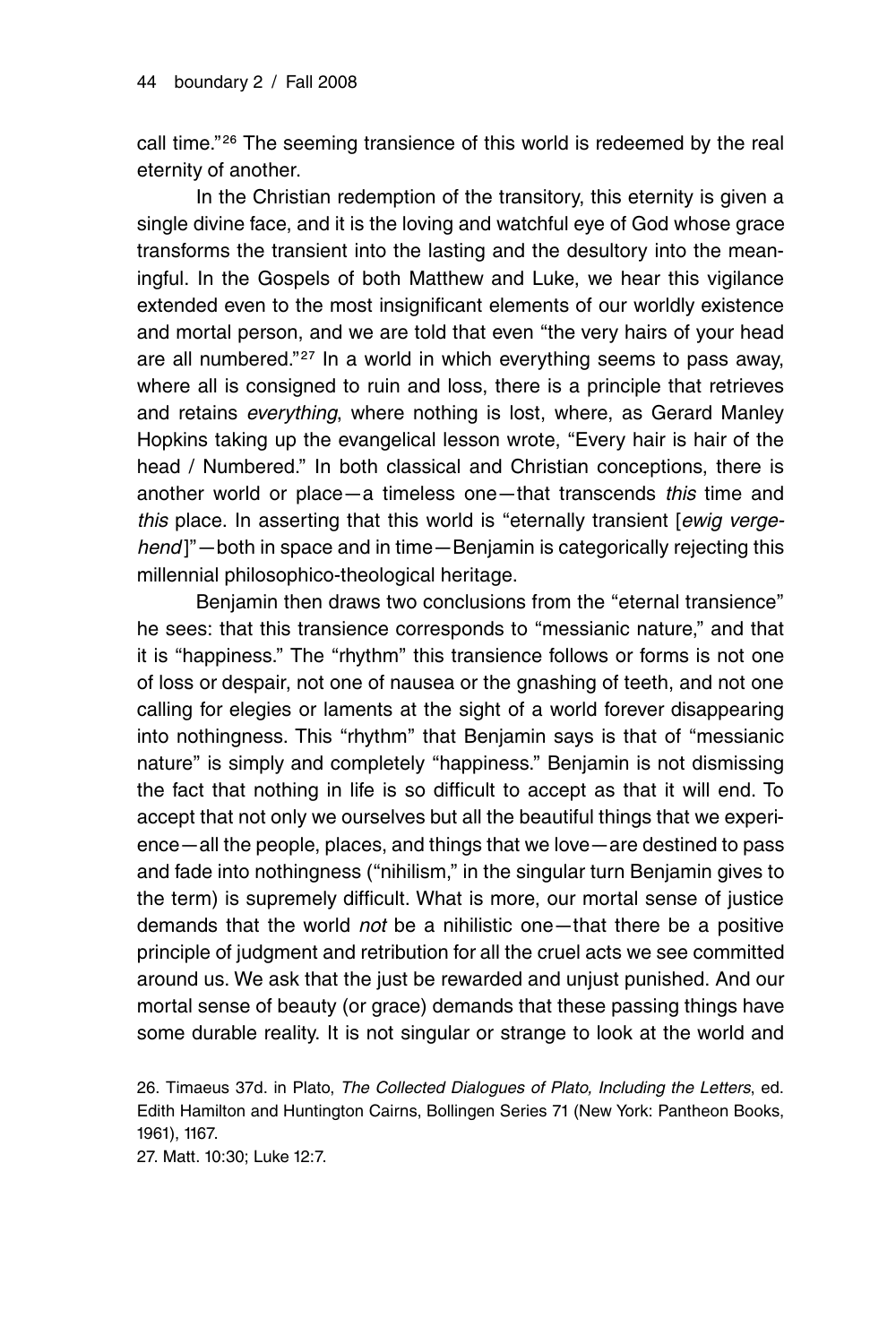call time."<sup>26</sup> The seeming transience of this world is redeemed by the real eternity of another.

In the Christian redemption of the transitory, this eternity is given a single divine face, and it is the loving and watchful eye of God whose grace transforms the transient into the lasting and the desultory into the meaningful. In the Gospels of both Matthew and Luke, we hear this vigilance extended even to the most insignificant elements of our worldly existence and mortal person, and we are told that even "the very hairs of your head are all numbered." $27 \text{ In a world in which everything seems to pass away,}$ where all is consigned to ruin and loss, there is a principle that retrieves and retains *everything*, where nothing is lost, where, as Gerard Manley Hopkins taking up the evangelical lesson wrote, "Every hair is hair of the head / Numbered." In both classical and Christian conceptions, there is another world or place—a timeless one—that transcends *this* time and *this* place. In asserting that this world is "eternally transient [*ewig vergehend* ]"—both in space and in time—Benjamin is categorically rejecting this millennial philosophico-theological heritage.

Benjamin then draws two conclusions from the "eternal transience" he sees: that this transience corresponds to "messianic nature," and that it is "happiness." The "rhythm" this transience follows or forms is not one of loss or despair, not one of nausea or the gnashing of teeth, and not one calling for elegies or laments at the sight of a world forever disappearing into nothingness. This "rhythm" that Benjamin says is that of "messianic nature" is simply and completely "happiness." Benjamin is not dismissing the fact that nothing in life is so difficult to accept as that it will end. To accept that not only we ourselves but all the beautiful things that we experience—all the people, places, and things that we love—are destined to pass and fade into nothingness ("nihilism," in the singular turn Benjamin gives to the term) is supremely difficult. What is more, our mortal sense of justice demands that the world *not* be a nihilistic one—that there be a positive principle of judgment and retribution for all the cruel acts we see committed around us. We ask that the just be rewarded and unjust punished. And our mortal sense of beauty (or grace) demands that these passing things have some durable reality. It is not singular or strange to look at the world and

26. Timaeus 37d. in Plato, *The Collected Dialogues of Plato, Including the Letters*, ed. Edith Hamilton and Huntington Cairns, Bollingen Series 71 (New York: Pantheon Books, 1961), 1167.

27. Matt. 10:30; Luke 12:7.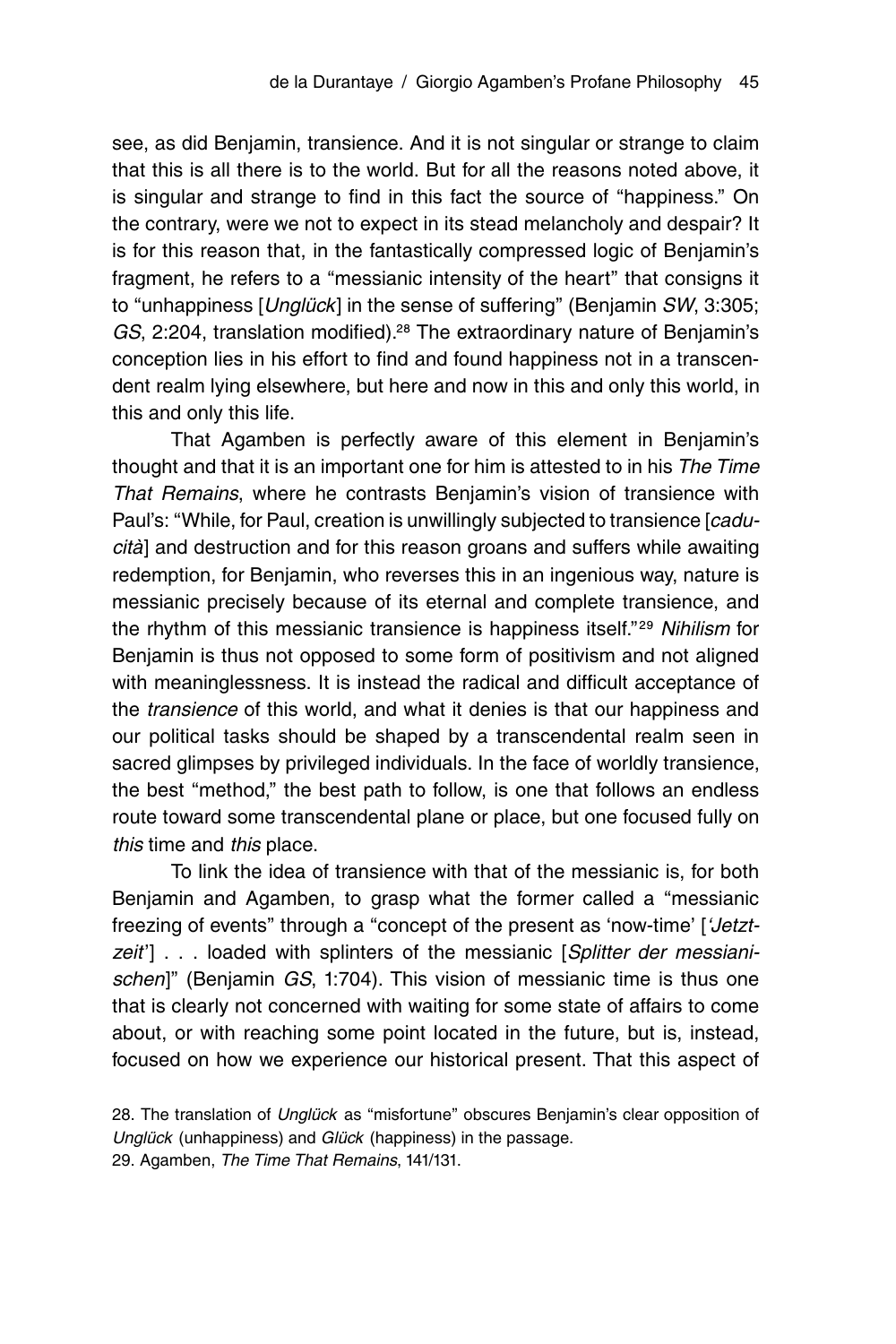see, as did Benjamin, transience. And it is not singular or strange to claim that this is all there is to the world. But for all the reasons noted above, it is singular and strange to find in this fact the source of "happiness." On the contrary, were we not to expect in its stead melancholy and despair? It is for this reason that, in the fantastically compressed logic of Benjamin's fragment, he refers to a "messianic intensity of the heart" that consigns it to "unhappiness [*Unglück*] in the sense of suffering" (Benjamin *SW*, 3:305; *GS*, 2:204, translation modified).²⁸ The extraordinary nature of Benjamin's conception lies in his effort to find and found happiness not in a transcendent realm lying elsewhere, but here and now in this and only this world, in this and only this life.

That Agamben is perfectly aware of this element in Benjamin's thought and that it is an important one for him is attested to in his *The Time That Remains*, where he contrasts Benjamin's vision of transience with Paul's: "While, for Paul, creation is unwillingly subjected to transience [*caducità*] and destruction and for this reason groans and suffers while awaiting redemption, for Benjamin, who reverses this in an ingenious way, nature is messianic precisely because of its eternal and complete transience, and the rhythm of this messianic transience is happiness itself."²⁹ *Nihilism* for Benjamin is thus not opposed to some form of positivism and not aligned with meaninglessness. It is instead the radical and difficult acceptance of the *transience* of this world, and what it denies is that our happiness and our political tasks should be shaped by a transcendental realm seen in sacred glimpses by privileged individuals. In the face of worldly transience, the best "method," the best path to follow, is one that follows an endless route toward some transcendental plane or place, but one focused fully on *this* time and *this* place.

To link the idea of transience with that of the messianic is, for both Benjamin and Agamben, to grasp what the former called a "messianic freezing of events" through a "concept of the present as 'now-time' [*'Jetztzeit*'] . . . loaded with splinters of the messianic [*Splitter der messianischen*]" (Benjamin *GS*, 1:704). This vision of messianic time is thus one that is clearly not concerned with waiting for some state of affairs to come about, or with reaching some point located in the future, but is, instead, focused on how we experience our historical present. That this aspect of

<sup>28.</sup> The translation of *Unglück* as "misfortune" obscures Benjamin's clear opposition of *Unglück* (unhappiness) and *Glück* (happiness) in the passage. 29. Agamben, *The Time That Remains*, 141/131.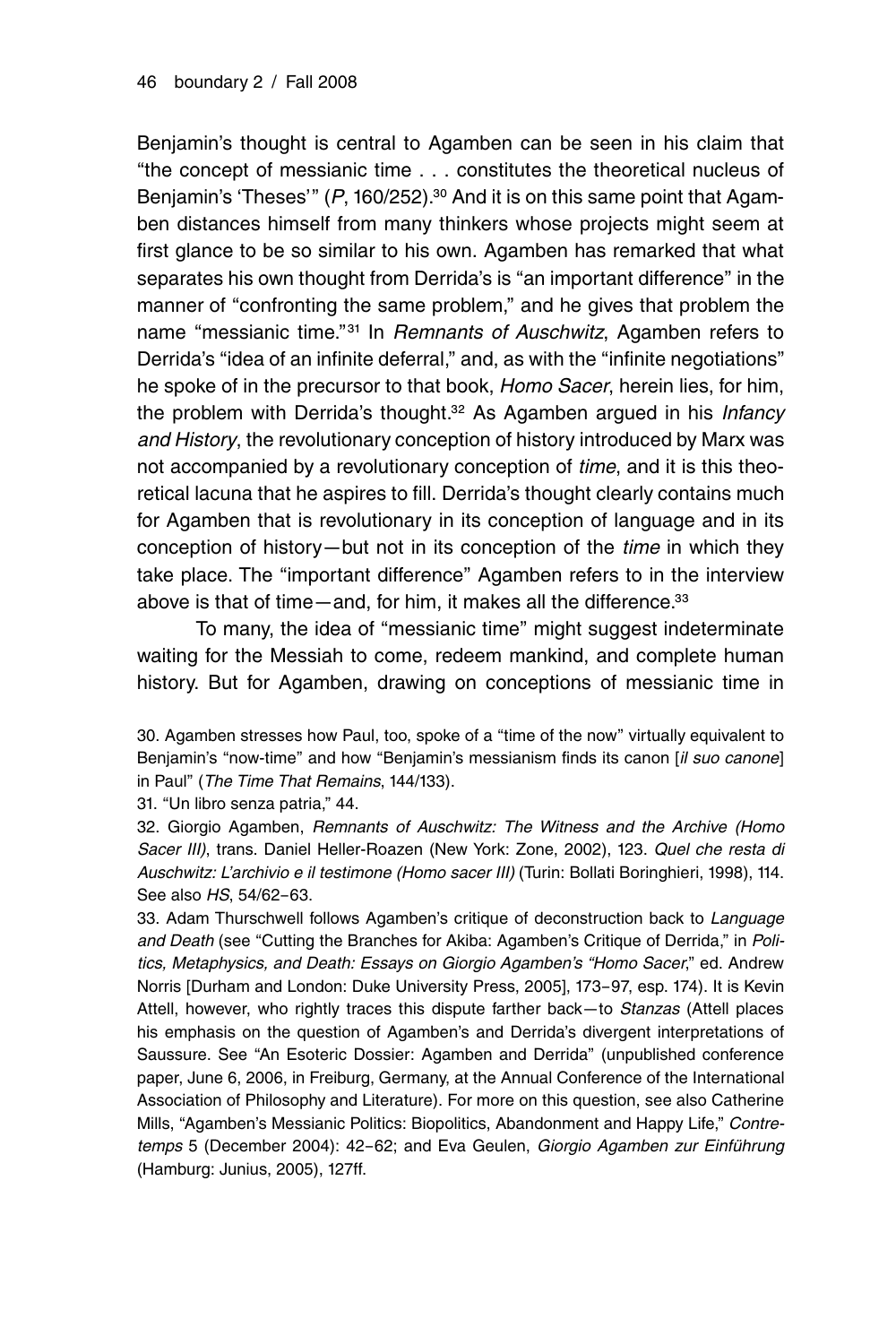Benjamin's thought is central to Agamben can be seen in his claim that "the concept of messianic time . . . constitutes the theoretical nucleus of Benjamin's 'Theses'" (P, 160/252).<sup>30</sup> And it is on this same point that Agamben distances himself from many thinkers whose projects might seem at first glance to be so similar to his own. Agamben has remarked that what separates his own thought from Derrida's is "an important difference" in the manner of "confronting the same problem," and he gives that problem the name "messianic time."<sup>31</sup> In *Remnants of Auschwitz*, Agamben refers to Derrida's "idea of an infinite deferral," and, as with the "infinite negotiations" he spoke of in the precursor to that book, *Homo Sacer*, herein lies, for him, the problem with Derrida's thought.³² As Agamben argued in his *Infancy and History*, the revolutionary conception of history introduced by Marx was not accompanied by a revolutionary conception of *time*, and it is this theoretical lacuna that he aspires to fill. Derrida's thought clearly contains much for Agamben that is revolutionary in its conception of language and in its conception of history—but not in its conception of the *time* in which they take place. The "important difference" Agamben refers to in the interview above is that of time—and, for him, it makes all the difference. $33$ 

To many, the idea of "messianic time" might suggest indeterminate waiting for the Messiah to come, redeem mankind, and complete human history. But for Agamben, drawing on conceptions of messianic time in

30. Agamben stresses how Paul, too, spoke of a "time of the now" virtually equivalent to Benjamin's "now-time" and how "Benjamin's messianism finds its canon [*il suo canone*] in Paul" (*The Time That Remains*, 144/133).

31. "Un libro senza patria," 44.

32. Giorgio Agamben, *Remnants of Auschwitz: The Witness and the Archive (Homo Sacer III)*, trans. Daniel Heller-Roazen (New York: Zone, 2002), 123. *Quel che resta di Auschwitz: L'archivio e il testimone (Homo sacer III)* (Turin: Bollati Boringhieri, 1998), 114. See also *HS*, 54/62–63.

33. Adam Thurschwell follows Agamben's critique of deconstruction back to *Language and Death* (see "Cutting the Branches for Akiba: Agamben's Critique of Derrida," in *Politics, Metaphysics, and Death: Essays on Giorgio Agamben's "Homo Sacer*," ed. Andrew Norris [Durham and London: Duke University Press, 2005], 173–97, esp. 174). It is Kevin Attell, however, who rightly traces this dispute farther back—to *Stanzas* (Attell places his emphasis on the question of Agamben's and Derrida's divergent interpretations of Saussure. See "An Esoteric Dossier: Agamben and Derrida" (unpublished conference paper, June 6, 2006, in Freiburg, Germany, at the Annual Conference of the International Association of Philosophy and Literature). For more on this question, see also Catherine Mills, "Agamben's Messianic Politics: Biopolitics, Abandonment and Happy Life," *Contretemps* 5 (December 2004): 42–62; and Eva Geulen, *Giorgio Agamben zur Einführung* (Hamburg: Junius, 2005), 127ff.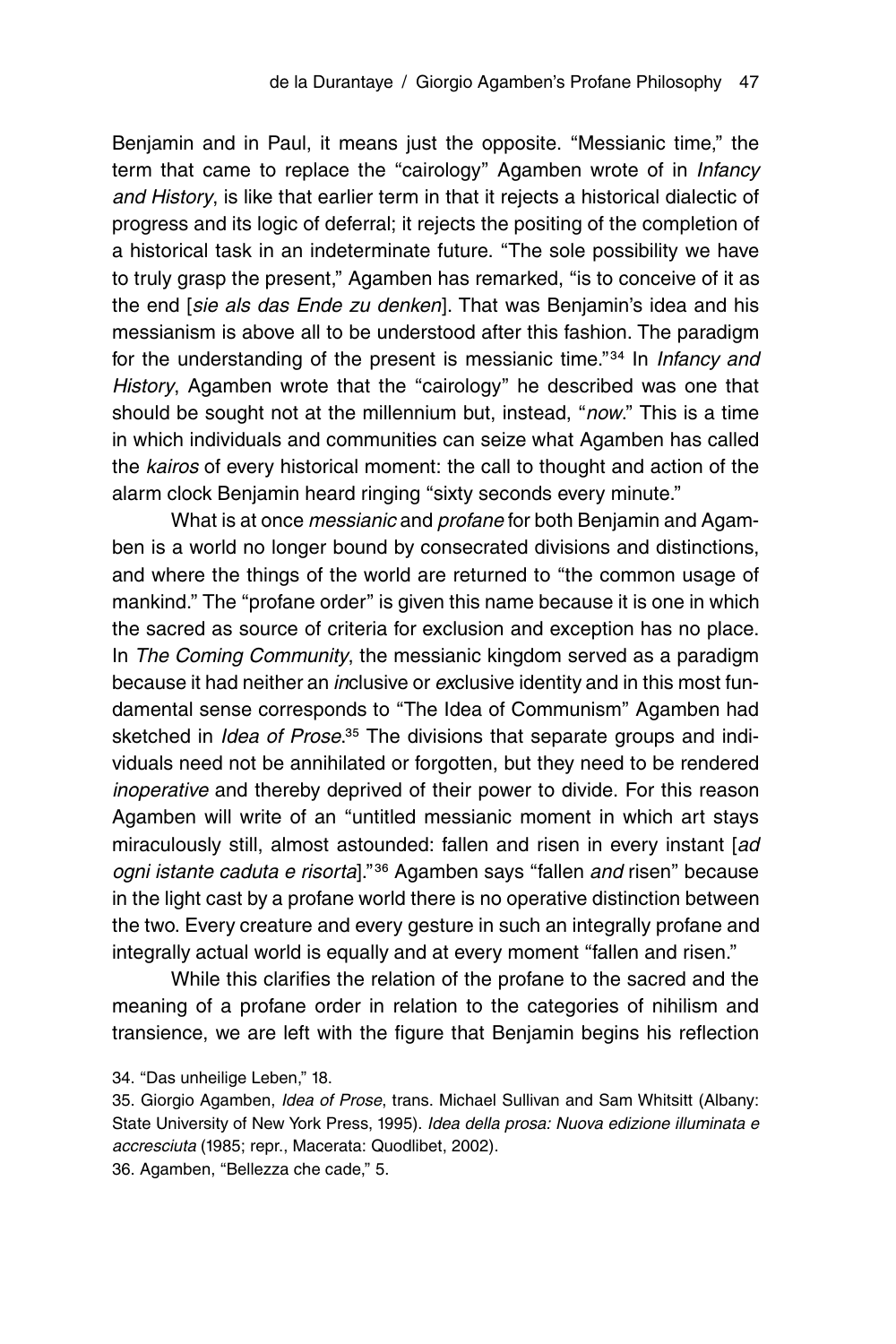Benjamin and in Paul, it means just the opposite. "Messianic time," the term that came to replace the "cairology" Agamben wrote of in *Infancy and History*, is like that earlier term in that it rejects a historical dialectic of progress and its logic of deferral; it rejects the positing of the completion of a historical task in an indeterminate future. "The sole possibility we have to truly grasp the present," Agamben has remarked, "is to conceive of it as the end [*sie als das Ende zu denken*]. That was Benjamin's idea and his messianism is above all to be understood after this fashion. The paradigm for the understanding of the present is messianic time."<sup>34</sup> In *Infancy and History*, Agamben wrote that the "cairology" he described was one that should be sought not at the millennium but, instead, "*now*." This is a time in which individuals and communities can seize what Agamben has called the *kairos* of every historical moment: the call to thought and action of the alarm clock Benjamin heard ringing "sixty seconds every minute."

What is at once *messianic* and *profane* for both Benjamin and Agamben is a world no longer bound by consecrated divisions and distinctions, and where the things of the world are returned to "the common usage of mankind." The "profane order" is given this name because it is one in which the sacred as source of criteria for exclusion and exception has no place. In *The Coming Community*, the messianic kingdom served as a paradigm because it had neither an *in*clusive or *ex*clusive identity and in this most fundamental sense corresponds to "The Idea of Communism" Agamben had sketched in *Idea of Prose*.<sup>35</sup> The divisions that separate groups and individuals need not be annihilated or forgotten, but they need to be rendered *inoperative* and thereby deprived of their power to divide. For this reason Agamben will write of an "untitled messianic moment in which art stays miraculously still, almost astounded: fallen and risen in every instant [*ad ogni istante caduta e risorta*]."³⁶ Agamben says "fallen *and* risen" because in the light cast by a profane world there is no operative distinction between the two. Every creature and every gesture in such an integrally profane and integrally actual world is equally and at every moment "fallen and risen."

While this clarifies the relation of the profane to the sacred and the meaning of a profane order in relation to the categories of nihilism and transience, we are left with the figure that Benjamin begins his reflection

34. "Das unheilige Leben," 18.

35. Giorgio Agamben, *Idea of Prose*, trans. Michael Sullivan and Sam Whitsitt (Albany: State University of New York Press, 1995). *Idea della prosa: Nuova edizione illuminata e accresciuta* (1985; repr., Macerata: Quodlibet, 2002). 36. Agamben, "Bellezza che cade," 5.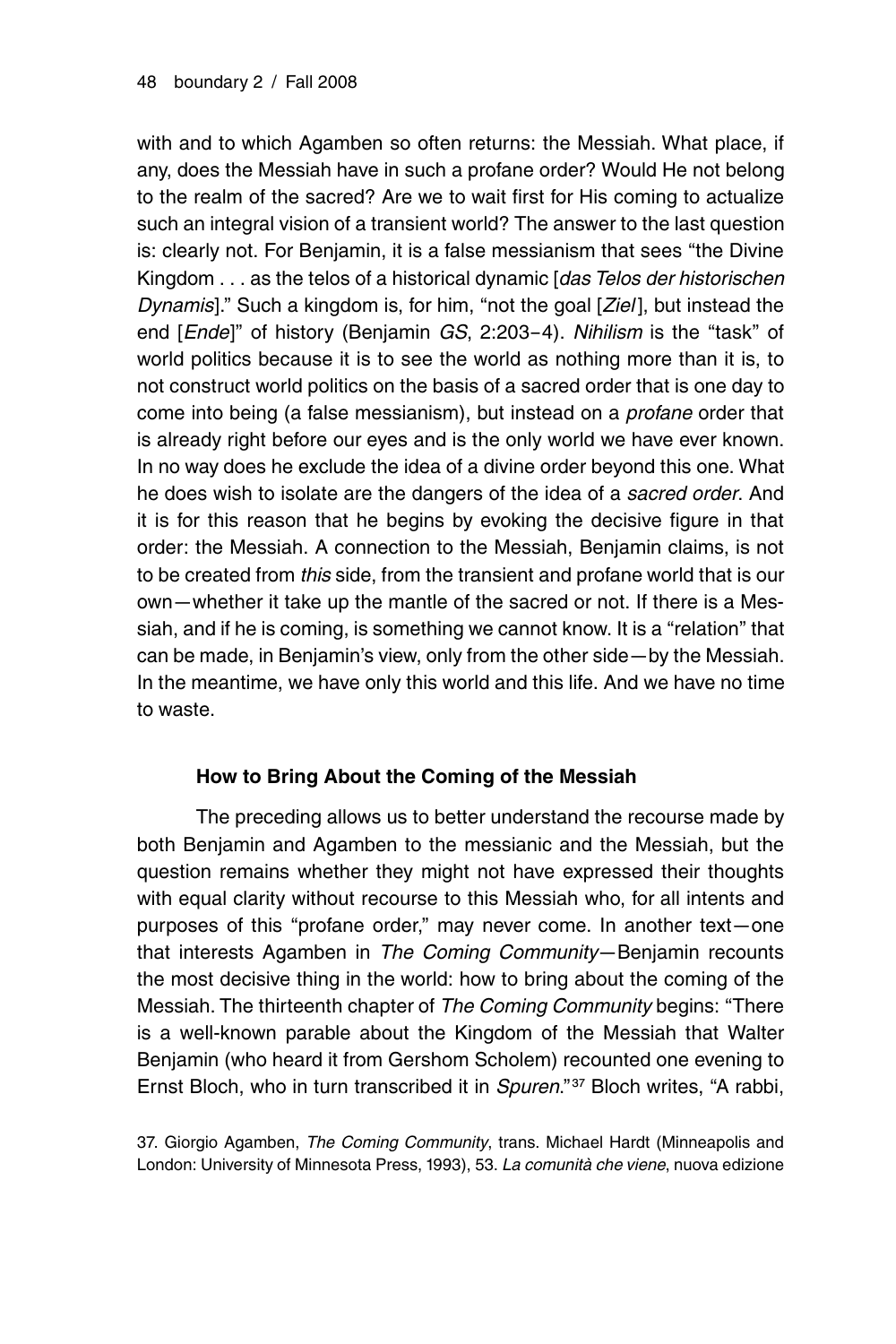with and to which Agamben so often returns: the Messiah. What place, if any, does the Messiah have in such a profane order? Would He not belong to the realm of the sacred? Are we to wait first for His coming to actualize such an integral vision of a transient world? The answer to the last question is: clearly not. For Benjamin, it is a false messianism that sees "the Divine Kingdom . . . as the telos of a historical dynamic [*das Telos der historischen Dynamis*]." Such a kingdom is, for him, "not the goal [*Ziel* ], but instead the end [*Ende*]" of history (Benjamin *GS*, 2:203–4). *Nihilism* is the "task" of world politics because it is to see the world as nothing more than it is, to not construct world politics on the basis of a sacred order that is one day to come into being (a false messianism), but instead on a *profane* order that is already right before our eyes and is the only world we have ever known. In no way does he exclude the idea of a divine order beyond this one. What he does wish to isolate are the dangers of the idea of a *sacred order*. And it is for this reason that he begins by evoking the decisive figure in that order: the Messiah. A connection to the Messiah, Benjamin claims, is not to be created from *this* side, from the transient and profane world that is our own—whether it take up the mantle of the sacred or not. If there is a Messiah, and if he is coming, is something we cannot know. It is a "relation" that can be made, in Benjamin's view, only from the other side—by the Messiah. In the meantime, we have only this world and this life. And we have no time to waste.

# **How to Bring About the Coming of the Messiah**

The preceding allows us to better understand the recourse made by both Benjamin and Agamben to the messianic and the Messiah, but the question remains whether they might not have expressed their thoughts with equal clarity without recourse to this Messiah who, for all intents and purposes of this "profane order," may never come. In another text—one that interests Agamben in *The Coming Community*—Benjamin recounts the most decisive thing in the world: how to bring about the coming of the Messiah. The thirteenth chapter of *The Coming Community* begins: "There is a well-known parable about the Kingdom of the Messiah that Walter Benjamin (who heard it from Gershom Scholem) recounted one evening to Ernst Bloch, who in turn transcribed it in *Spuren*."<sup>37</sup> Bloch writes, "A rabbi,

37. Giorgio Agamben, *The Coming Community*, trans. Michael Hardt (Minneapolis and London: University of Minnesota Press, 1993), 53. *La comunità che viene*, nuova edizione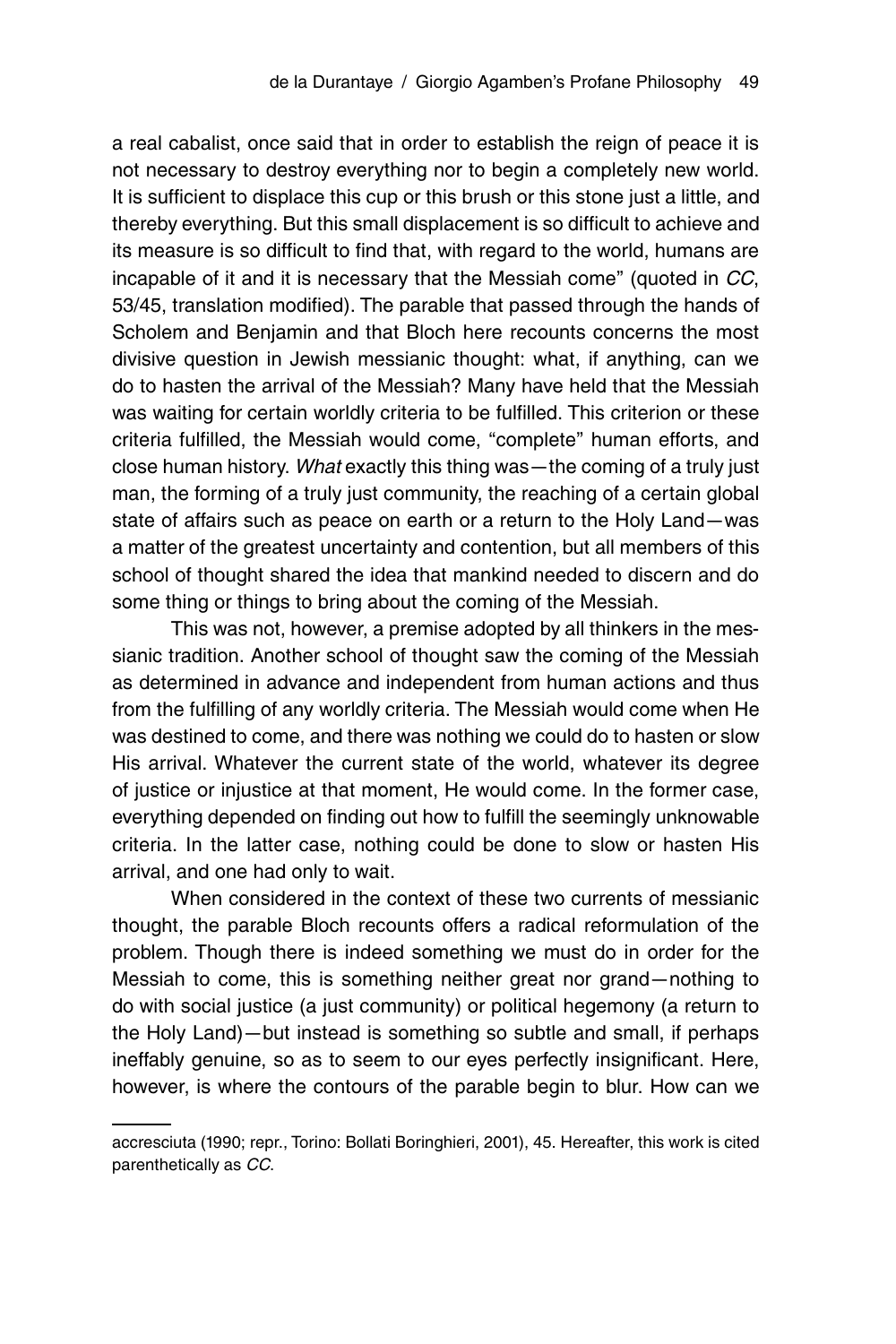a real cabalist, once said that in order to establish the reign of peace it is not necessary to destroy everything nor to begin a completely new world. It is sufficient to displace this cup or this brush or this stone just a little, and thereby everything. But this small displacement is so difficult to achieve and its measure is so difficult to find that, with regard to the world, humans are incapable of it and it is necessary that the Messiah come" (quoted in *CC*, 53/45, translation modified). The parable that passed through the hands of Scholem and Benjamin and that Bloch here recounts concerns the most divisive question in Jewish messianic thought: what, if anything, can we do to hasten the arrival of the Messiah? Many have held that the Messiah was waiting for certain worldly criteria to be fulfilled. This criterion or these criteria fulfilled, the Messiah would come, "complete" human efforts, and close human history. *What* exactly this thing was—the coming of a truly just man, the forming of a truly just community, the reaching of a certain global state of affairs such as peace on earth or a return to the Holy Land—was a matter of the greatest uncertainty and contention, but all members of this school of thought shared the idea that mankind needed to discern and do some thing or things to bring about the coming of the Messiah.

This was not, however, a premise adopted by all thinkers in the messianic tradition. Another school of thought saw the coming of the Messiah as determined in advance and independent from human actions and thus from the fulfilling of any worldly criteria. The Messiah would come when He was destined to come, and there was nothing we could do to hasten or slow His arrival. Whatever the current state of the world, whatever its degree of justice or injustice at that moment, He would come. In the former case, everything depended on finding out how to fulfill the seemingly unknowable criteria. In the latter case, nothing could be done to slow or hasten His arrival, and one had only to wait.

When considered in the context of these two currents of messianic thought, the parable Bloch recounts offers a radical reformulation of the problem. Though there is indeed something we must do in order for the Messiah to come, this is something neither great nor grand—nothing to do with social justice (a just community) or political hegemony (a return to the Holy Land)—but instead is something so subtle and small, if perhaps ineffably genuine, so as to seem to our eyes perfectly insignificant. Here, however, is where the contours of the parable begin to blur. How can we

accresciuta (1990; repr., Torino: Bollati Boringhieri, 2001), 45. Hereafter, this work is cited parenthetically as *CC*.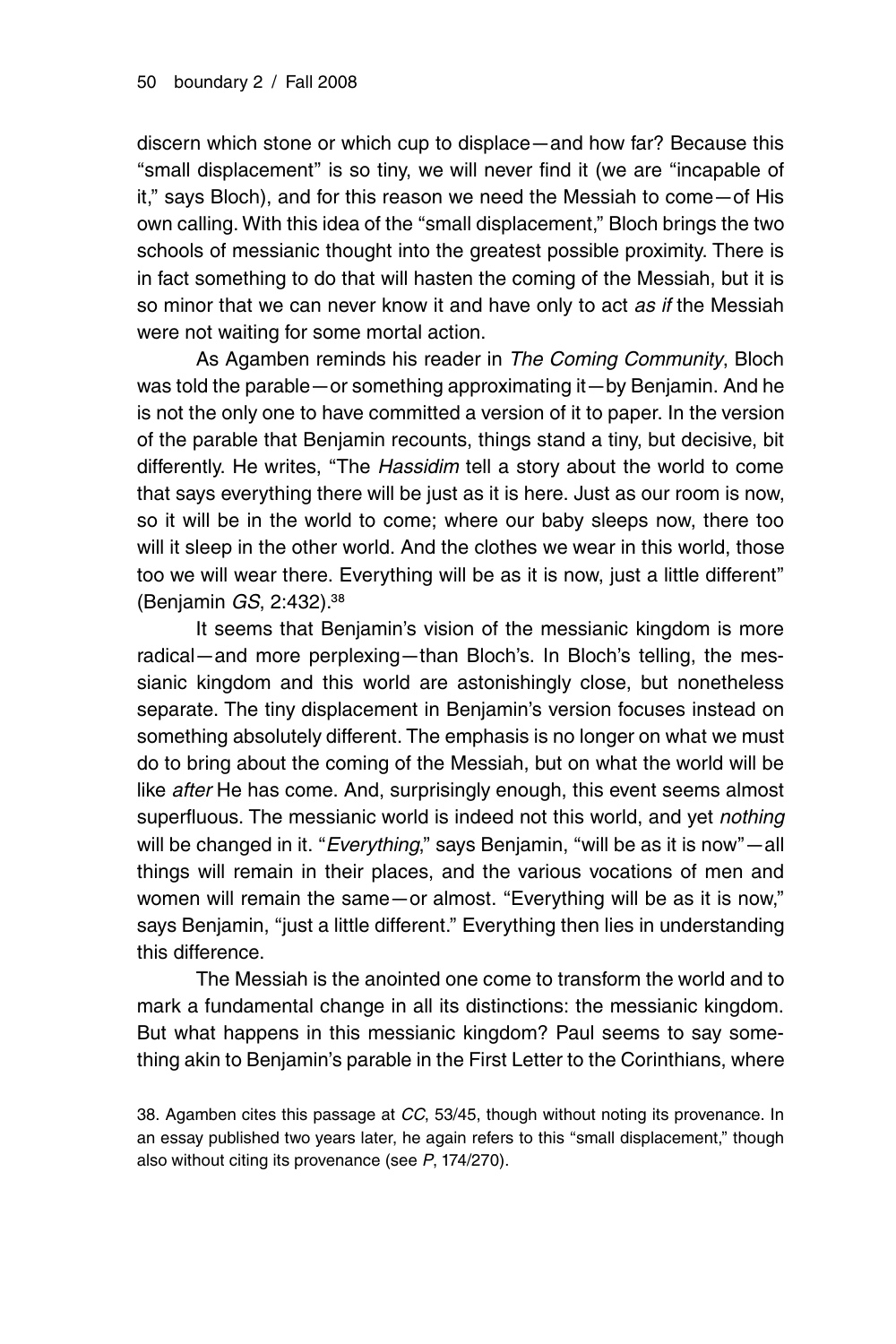discern which stone or which cup to displace—and how far? Because this "small displacement" is so tiny, we will never find it (we are "incapable of it," says Bloch), and for this reason we need the Messiah to come—of His own calling. With this idea of the "small displacement," Bloch brings the two schools of messianic thought into the greatest possible proximity. There is in fact something to do that will hasten the coming of the Messiah, but it is so minor that we can never know it and have only to act *as if* the Messiah were not waiting for some mortal action.

As Agamben reminds his reader in *The Coming Community*, Bloch was told the parable—or something approximating it—by Benjamin. And he is not the only one to have committed a version of it to paper. In the version of the parable that Benjamin recounts, things stand a tiny, but decisive, bit differently. He writes, "The *Hassidim* tell a story about the world to come that says everything there will be just as it is here. Just as our room is now, so it will be in the world to come; where our baby sleeps now, there too will it sleep in the other world. And the clothes we wear in this world, those too we will wear there. Everything will be as it is now, just a little different" (Benjamin *GS*, 2:432).³⁸

It seems that Benjamin's vision of the messianic kingdom is more radical—and more perplexing—than Bloch's. In Bloch's telling, the messianic kingdom and this world are astonishingly close, but nonetheless separate. The tiny displacement in Benjamin's version focuses instead on something absolutely different. The emphasis is no longer on what we must do to bring about the coming of the Messiah, but on what the world will be like *after* He has come. And, surprisingly enough, this event seems almost superfluous. The messianic world is indeed not this world, and yet *nothing* will be changed in it. "*Everything*," says Benjamin, "will be as it is now"—all things will remain in their places, and the various vocations of men and women will remain the same—or almost. "Everything will be as it is now," says Benjamin, "just a little different." Everything then lies in understanding this difference.

The Messiah is the anointed one come to transform the world and to mark a fundamental change in all its distinctions: the messianic kingdom. But what happens in this messianic kingdom? Paul seems to say something akin to Benjamin's parable in the First Letter to the Corinthians, where

38. Agamben cites this passage at *CC*, 53/45, though without noting its provenance. In an essay published two years later, he again refers to this "small displacement," though also without citing its provenance (see *P*, 174/270).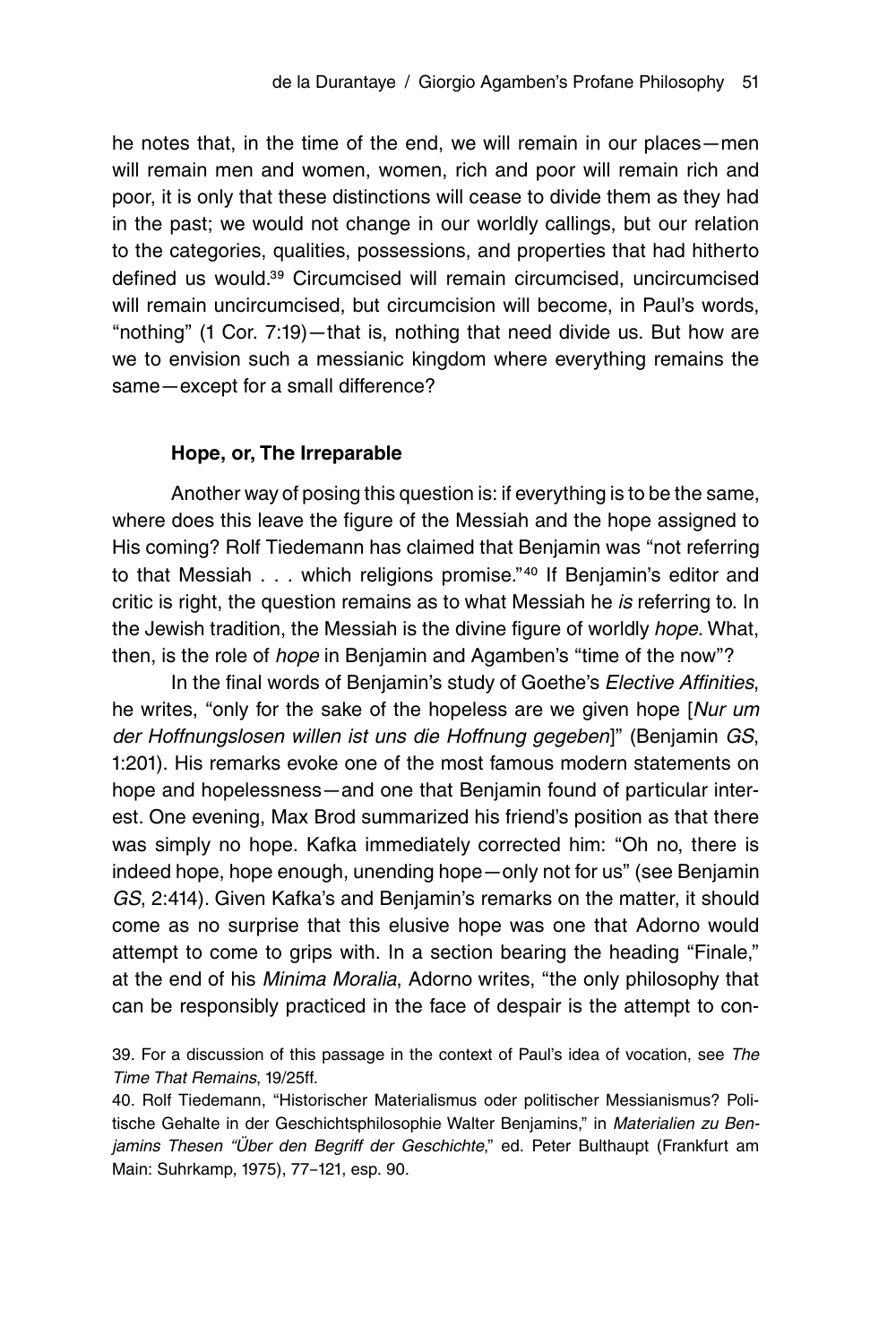he notes that, in the time of the end, we will remain in our places—men will remain men and women, women, rich and poor will remain rich and poor, it is only that these distinctions will cease to divide them as they had in the past; we would not change in our worldly callings, but our relation to the categories, qualities, possessions, and properties that had hitherto defined us would.<sup>39</sup> Circumcised will remain circumcised, uncircumcised will remain uncircumcised, but circumcision will become, in Paul's words, "nothing" (1 Cor. 7:19)—that is, nothing that need divide us. But how are we to envision such a messianic kingdom where everything remains the same—except for a small difference?

#### **Hope, or, The Irreparable**

Another way of posing this question is: if everything is to be the same, where does this leave the figure of the Messiah and the hope assigned to His coming? Rolf Tiedemann has claimed that Benjamin was "not referring to that Messiah . . . which religions promise."<sup>40</sup> If Benjamin's editor and critic is right, the question remains as to what Messiah he *is* referring to. In the Jewish tradition, the Messiah is the divine figure of worldly *hope*. What, then, is the role of *hope* in Benjamin and Agamben's "time of the now"?

In the final words of Benjamin's study of Goethe's *Elective Affinities*, he writes, "only for the sake of the hopeless are we given hope [*Nur um der Hoffnungslosen willen ist uns die Hoffnung gegeben*]" (Benjamin *GS*, 1:201). His remarks evoke one of the most famous modern statements on hope and hopelessness—and one that Benjamin found of particular interest. One evening, Max Brod summarized his friend's position as that there was simply no hope. Kafka immediately corrected him: "Oh no, there is indeed hope, hope enough, unending hope—only not for us" (see Benjamin *GS*, 2:414). Given Kafka's and Benjamin's remarks on the matter, it should come as no surprise that this elusive hope was one that Adorno would attempt to come to grips with. In a section bearing the heading "Finale," at the end of his *Minima Moralia*, Adorno writes, "the only philosophy that can be responsibly practiced in the face of despair is the attempt to con-

39. For a discussion of this passage in the context of Paul's idea of vocation, see *The Time That Remains*, 19/25ff.

40. Rolf Tiedemann, "Historischer Materialismus oder politischer Messianismus? Politische Gehalte in der Geschichtsphilosophie Walter Benjamins," in *Materialien zu Benjamins Thesen "Über den Begriff der Geschichte*," ed. Peter Bulthaupt (Frankfurt am Main: Suhrkamp, 1975), 77–121, esp. 90.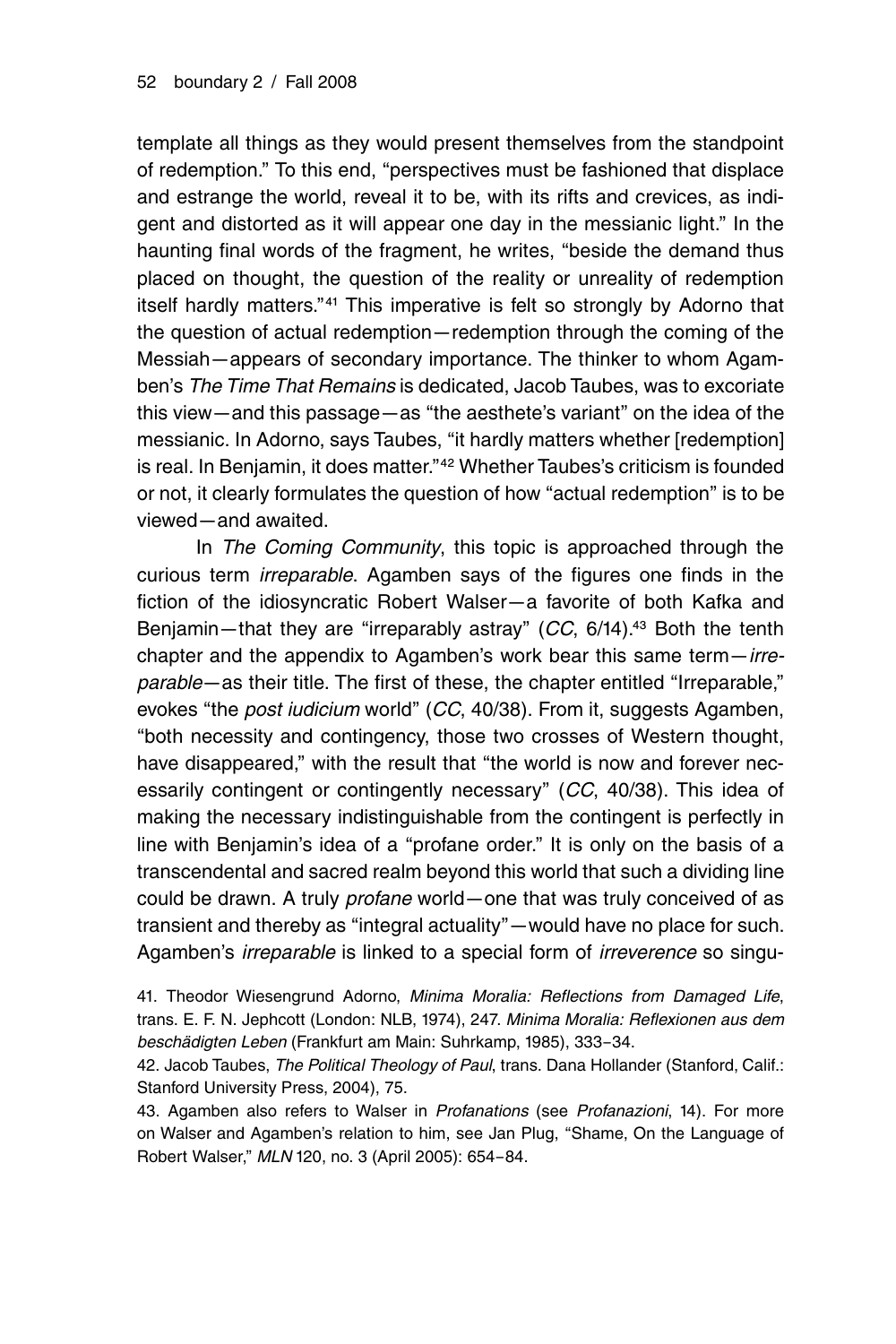template all things as they would present themselves from the standpoint of redemption." To this end, "perspectives must be fashioned that displace and estrange the world, reveal it to be, with its rifts and crevices, as indigent and distorted as it will appear one day in the messianic light." In the haunting final words of the fragment, he writes, "beside the demand thus placed on thought, the question of the reality or unreality of redemption itself hardly matters."<sup>41</sup> This imperative is felt so strongly by Adorno that the question of actual redemption—redemption through the coming of the Messiah—appears of secondary importance. The thinker to whom Agamben's *The Time That Remains* is dedicated, Jacob Taubes, was to excoriate this view—and this passage—as "the aesthete's variant" on the idea of the messianic. In Adorno, says Taubes, "it hardly matters whether [redemption] is real. In Benjamin, it does matter."<sup>42</sup> Whether Taubes's criticism is founded or not, it clearly formulates the question of how "actual redemption" is to be viewed—and awaited.

In *The Coming Community*, this topic is approached through the curious term *irreparable*. Agamben says of the figures one finds in the fiction of the idiosyncratic Robert Walser—a favorite of both Kafka and Benjamin—that they are "irreparably astray" (CC, 6/14).<sup>43</sup> Both the tenth chapter and the appendix to Agamben's work bear this same term—*irreparable*—as their title. The first of these, the chapter entitled "Irreparable," evokes "the *post iudicium* world" (*CC*, 40/38). From it, suggests Agamben, "both necessity and contingency, those two crosses of Western thought, have disappeared," with the result that "the world is now and forever necessarily contingent or contingently necessary" (*CC*, 40/38). This idea of making the necessary indistinguishable from the contingent is perfectly in line with Benjamin's idea of a "profane order." It is only on the basis of a transcendental and sacred realm beyond this world that such a dividing line could be drawn. A truly *profane* world—one that was truly conceived of as transient and thereby as "integral actuality"—would have no place for such. Agamben's *irreparable* is linked to a special form of *irreverence* so singu-

<sup>41.</sup> Theodor Wiesengrund Adorno, *Minima Moralia: Reflections from Damaged Life*, trans. E. F. N. Jephcott (London: NLB, 1974), 247. *Minima Moralia: Reflexionen aus dem beschädigten Leben* (Frankfurt am Main: Suhrkamp, 1985), 333–34.

<sup>42.</sup> Jacob Taubes, *The Political Theology of Paul*, trans. Dana Hollander (Stanford, Calif.: Stanford University Press, 2004), 75.

<sup>43.</sup> Agamben also refers to Walser in *Profanations* (see *Profanazioni*, 14). For more on Walser and Agamben's relation to him, see Jan Plug, "Shame, On the Language of Robert Walser," *MLN* 120, no. 3 (April 2005): 654–84.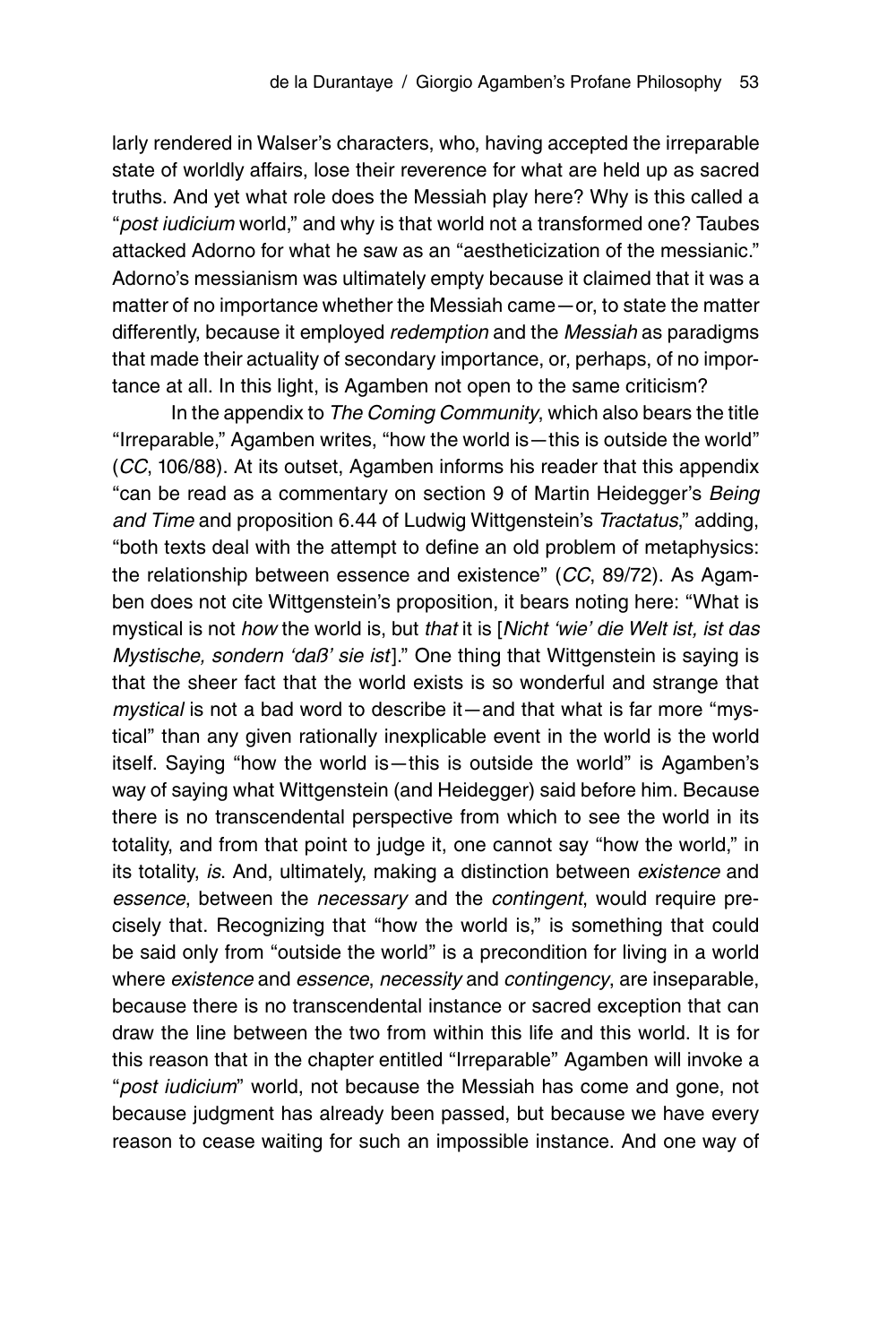larly rendered in Walser's characters, who, having accepted the irreparable state of worldly affairs, lose their reverence for what are held up as sacred truths. And yet what role does the Messiah play here? Why is this called a "*post iudicium* world," and why is that world not a transformed one? Taubes attacked Adorno for what he saw as an "aestheticization of the messianic." Adorno's messianism was ultimately empty because it claimed that it was a matter of no importance whether the Messiah came—or, to state the matter differently, because it employed *redemption* and the *Messiah* as paradigms that made their actuality of secondary importance, or, perhaps, of no importance at all. In this light, is Agamben not open to the same criticism?

In the appendix to *The Coming Community*, which also bears the title "Irreparable," Agamben writes, "how the world is—this is outside the world" (*CC*, 106/88). At its outset, Agamben informs his reader that this appendix "can be read as a commentary on section 9 of Martin Heidegger's *Being and Time* and proposition 6.44 of Ludwig Wittgenstein's *Tractatus*," adding, "both texts deal with the attempt to define an old problem of metaphysics: the relationship between essence and existence" (*CC*, 89/72). As Agamben does not cite Wittgenstein's proposition, it bears noting here: "What is mystical is not *how* the world is, but *that* it is [*Nicht 'wie' die Welt ist, ist das Mystische, sondern 'daß' sie ist*]." One thing that Wittgenstein is saying is that the sheer fact that the world exists is so wonderful and strange that *mystical* is not a bad word to describe it—and that what is far more "mystical" than any given rationally inexplicable event in the world is the world itself. Saying "how the world is—this is outside the world" is Agamben's way of saying what Wittgenstein (and Heidegger) said before him. Because there is no transcendental perspective from which to see the world in its totality, and from that point to judge it, one cannot say "how the world," in its totality, *is*. And, ultimately, making a distinction between *existence* and *essence*, between the *necessary* and the *contingent*, would require precisely that. Recognizing that "how the world is," is something that could be said only from "outside the world" is a precondition for living in a world where *existence* and *essence*, *necessity* and *contingency*, are inseparable, because there is no transcendental instance or sacred exception that can draw the line between the two from within this life and this world. It is for this reason that in the chapter entitled "Irreparable" Agamben will invoke a "*post iudicium*" world, not because the Messiah has come and gone, not because judgment has already been passed, but because we have every reason to cease waiting for such an impossible instance. And one way of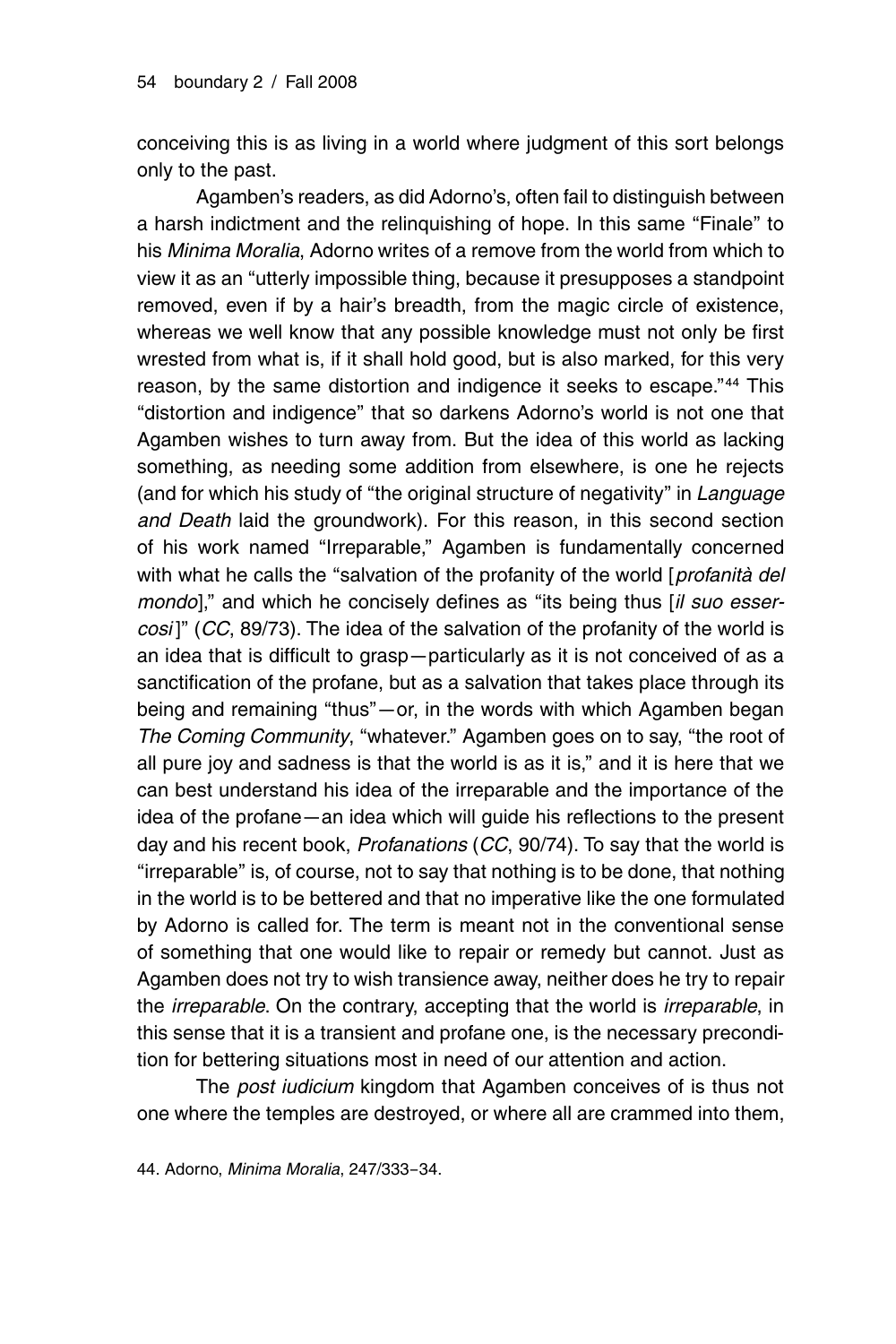conceiving this is as living in a world where judgment of this sort belongs only to the past.

Agamben's readers, as did Adorno's, often fail to distinguish between a harsh indictment and the relinquishing of hope. In this same "Finale" to his *Minima Moralia*, Adorno writes of a remove from the world from which to view it as an "utterly impossible thing, because it presupposes a standpoint removed, even if by a hair's breadth, from the magic circle of existence, whereas we well know that any possible knowledge must not only be first wrested from what is, if it shall hold good, but is also marked, for this very reason, by the same distortion and indigence it seeks to escape."<sup>44</sup> This "distortion and indigence" that so darkens Adorno's world is not one that Agamben wishes to turn away from. But the idea of this world as lacking something, as needing some addition from elsewhere, is one he rejects (and for which his study of "the original structure of negativity" in *Language and Death* laid the groundwork). For this reason, in this second section of his work named "Irreparable," Agamben is fundamentally concerned with what he calls the "salvation of the profanity of the world [*profanità del mondo*]," and which he concisely defines as "its being thus [*il suo essercosi* ]" (*CC*, 89/73). The idea of the salvation of the profanity of the world is an idea that is difficult to grasp—particularly as it is not conceived of as a sanctification of the profane, but as a salvation that takes place through its being and remaining "thus"—or, in the words with which Agamben began *The Coming Community*, "whatever." Agamben goes on to say, "the root of all pure joy and sadness is that the world is as it is," and it is here that we can best understand his idea of the irreparable and the importance of the idea of the profane—an idea which will guide his reflections to the present day and his recent book, *Profanations* (*CC*, 90/74). To say that the world is "irreparable" is, of course, not to say that nothing is to be done, that nothing in the world is to be bettered and that no imperative like the one formulated by Adorno is called for. The term is meant not in the conventional sense of something that one would like to repair or remedy but cannot. Just as Agamben does not try to wish transience away, neither does he try to repair the *irreparable*. On the contrary, accepting that the world is *irreparable*, in this sense that it is a transient and profane one, is the necessary precondition for bettering situations most in need of our attention and action.

The *post iudicium* kingdom that Agamben conceives of is thus not one where the temples are destroyed, or where all are crammed into them,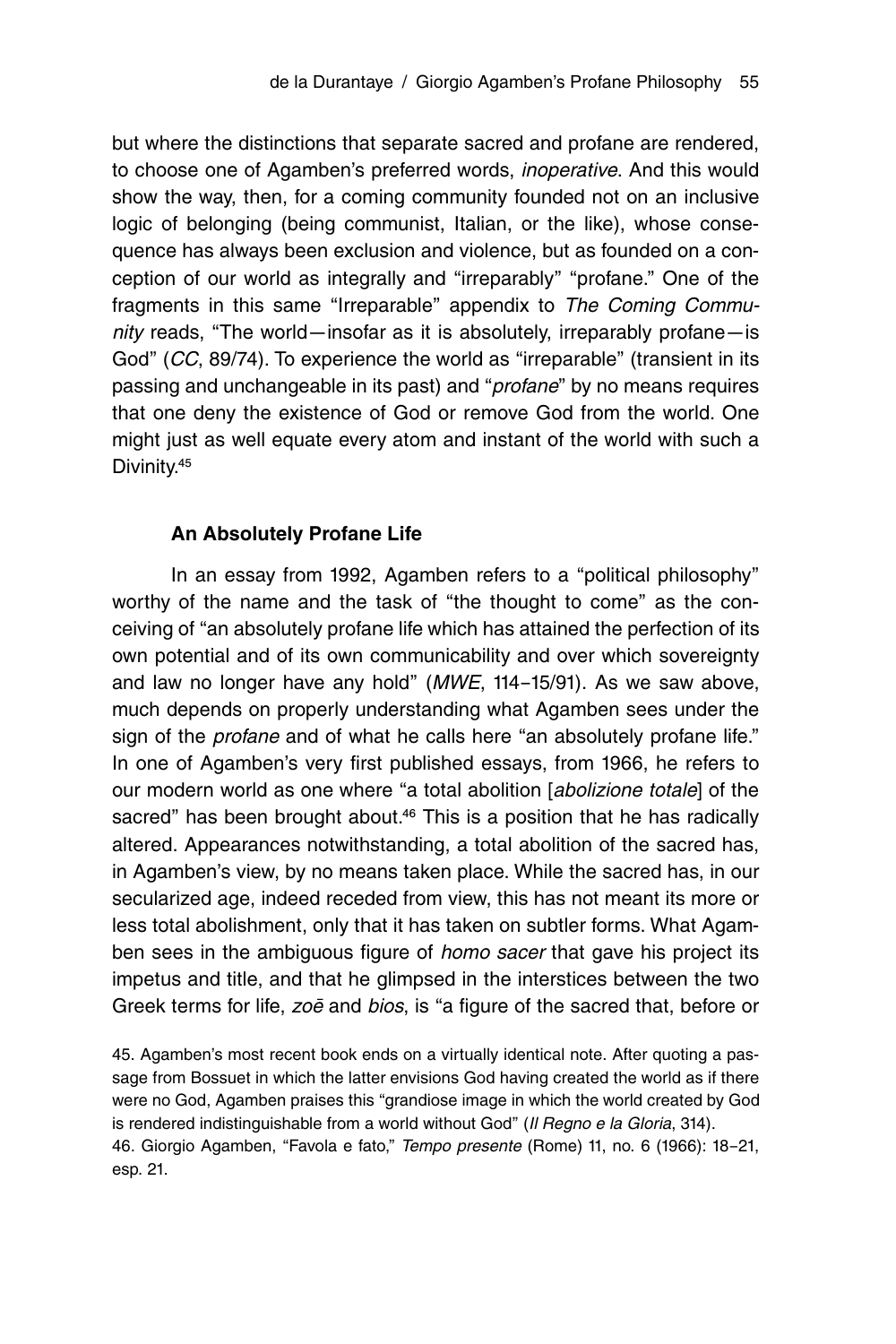but where the distinctions that separate sacred and profane are rendered, to choose one of Agamben's preferred words, *inoperative*. And this would show the way, then, for a coming community founded not on an inclusive logic of belonging (being communist, Italian, or the like), whose consequence has always been exclusion and violence, but as founded on a conception of our world as integrally and "irreparably" "profane." One of the fragments in this same "Irreparable" appendix to *The Coming Community* reads, "The world—insofar as it is absolutely, irreparably profane—is God" (*CC*, 89/74). To experience the world as "irreparable" (transient in its passing and unchangeable in its past) and "*profane*" by no means requires that one deny the existence of God or remove God from the world. One might just as well equate every atom and instant of the world with such a Divinity.<sup>45</sup>

#### **An Absolutely Profane Life**

In an essay from 1992, Agamben refers to a "political philosophy" worthy of the name and the task of "the thought to come" as the conceiving of "an absolutely profane life which has attained the perfection of its own potential and of its own communicability and over which sovereignty and law no longer have any hold" (*MWE*, 114–15/91). As we saw above, much depends on properly understanding what Agamben sees under the sign of the *profane* and of what he calls here "an absolutely profane life." In one of Agamben's very first published essays, from 1966, he refers to our modern world as one where "a total abolition [*abolizione totale*] of the sacred" has been brought about.<sup>46</sup> This is a position that he has radically altered. Appearances notwithstanding, a total abolition of the sacred has, in Agamben's view, by no means taken place. While the sacred has, in our secularized age, indeed receded from view, this has not meant its more or less total abolishment, only that it has taken on subtler forms. What Agamben sees in the ambiguous figure of *homo sacer* that gave his project its impetus and title, and that he glimpsed in the interstices between the two Greek terms for life, *zoē* and *bios*, is "a figure of the sacred that, before or

45. Agamben's most recent book ends on a virtually identical note. After quoting a passage from Bossuet in which the latter envisions God having created the world as if there were no God, Agamben praises this "grandiose image in which the world created by God is rendered indistinguishable from a world without God" (*Il Regno e la Gloria*, 314). 46. Giorgio Agamben, "Favola e fato," *Tempo presente* (Rome) 11, no. 6 (1966): 18–21, esp. 21.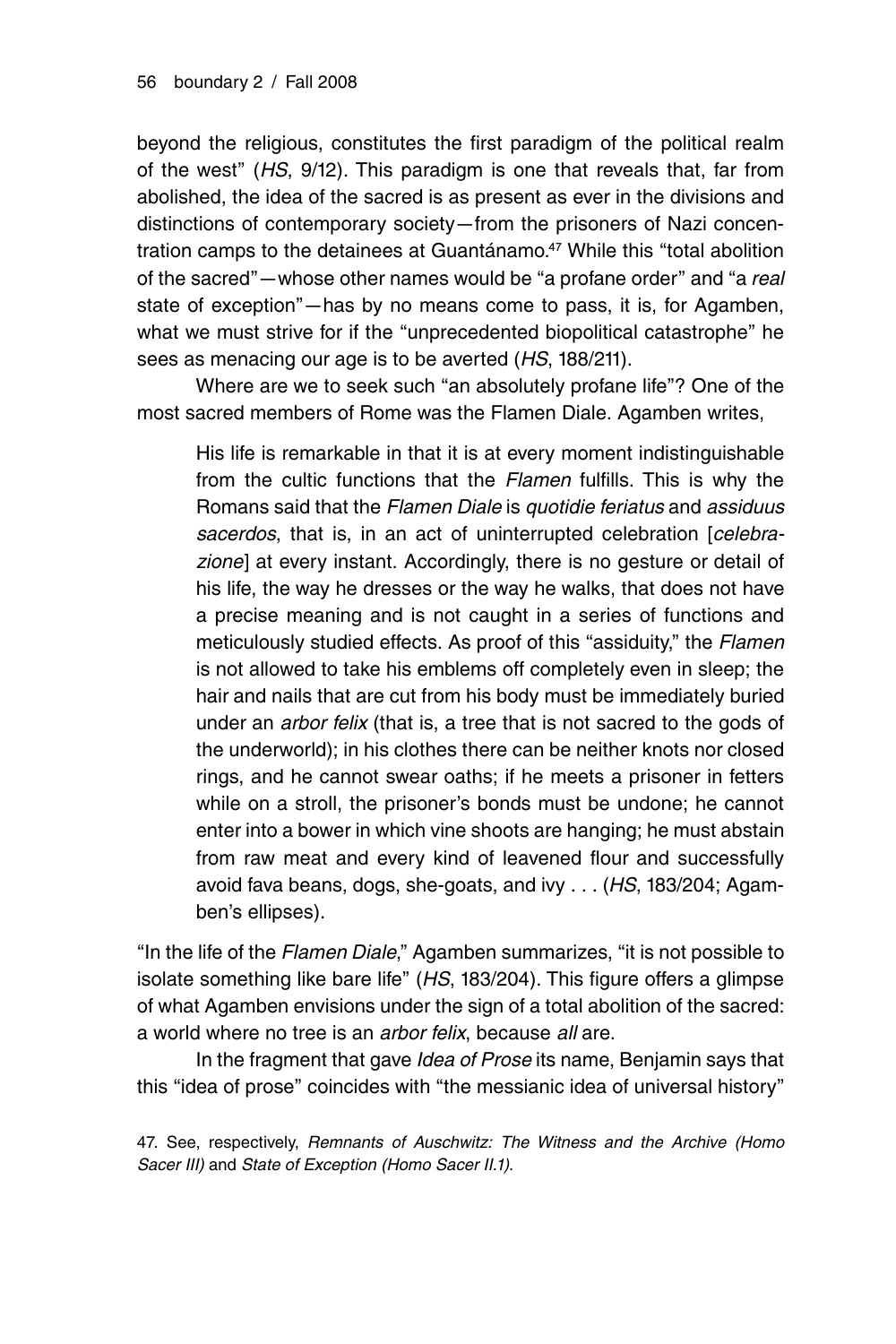beyond the religious, constitutes the first paradigm of the political realm of the west" (*HS*, 9/12). This paradigm is one that reveals that, far from abolished, the idea of the sacred is as present as ever in the divisions and distinctions of contemporary society—from the prisoners of Nazi concentration camps to the detainees at Guantánamo.<sup>47</sup> While this "total abolition of the sacred"—whose other names would be "a profane order" and "a *real* state of exception"—has by no means come to pass, it is, for Agamben, what we must strive for if the "unprecedented biopolitical catastrophe" he sees as menacing our age is to be averted (*HS*, 188/211).

Where are we to seek such "an absolutely profane life"? One of the most sacred members of Rome was the Flamen Diale. Agamben writes,

His life is remarkable in that it is at every moment indistinguishable from the cultic functions that the *Flamen* fulfills. This is why the Romans said that the *Flamen Diale* is *quotidie feriatus* and *assiduus sacerdos*, that is, in an act of uninterrupted celebration [*celebrazione*] at every instant. Accordingly, there is no gesture or detail of his life, the way he dresses or the way he walks, that does not have a precise meaning and is not caught in a series of functions and meticulously studied effects. As proof of this "assiduity," the *Flamen* is not allowed to take his emblems off completely even in sleep; the hair and nails that are cut from his body must be immediately buried under an *arbor felix* (that is, a tree that is not sacred to the gods of the underworld); in his clothes there can be neither knots nor closed rings, and he cannot swear oaths; if he meets a prisoner in fetters while on a stroll, the prisoner's bonds must be undone; he cannot enter into a bower in which vine shoots are hanging; he must abstain from raw meat and every kind of leavened flour and successfully avoid fava beans, dogs, she-goats, and ivy . . . (*HS*, 183/204; Agamben's ellipses).

"In the life of the *Flamen Diale*," Agamben summarizes, "it is not possible to isolate something like bare life" (*HS*, 183/204). This figure offers a glimpse of what Agamben envisions under the sign of a total abolition of the sacred: a world where no tree is an *arbor felix*, because *all* are.

In the fragment that gave *Idea of Prose* its name, Benjamin says that this "idea of prose" coincides with "the messianic idea of universal history"

47. See, respectively, *Remnants of Auschwitz: The Witness and the Archive (Homo Sacer III)* and *State of Exception (Homo Sacer II.1)*.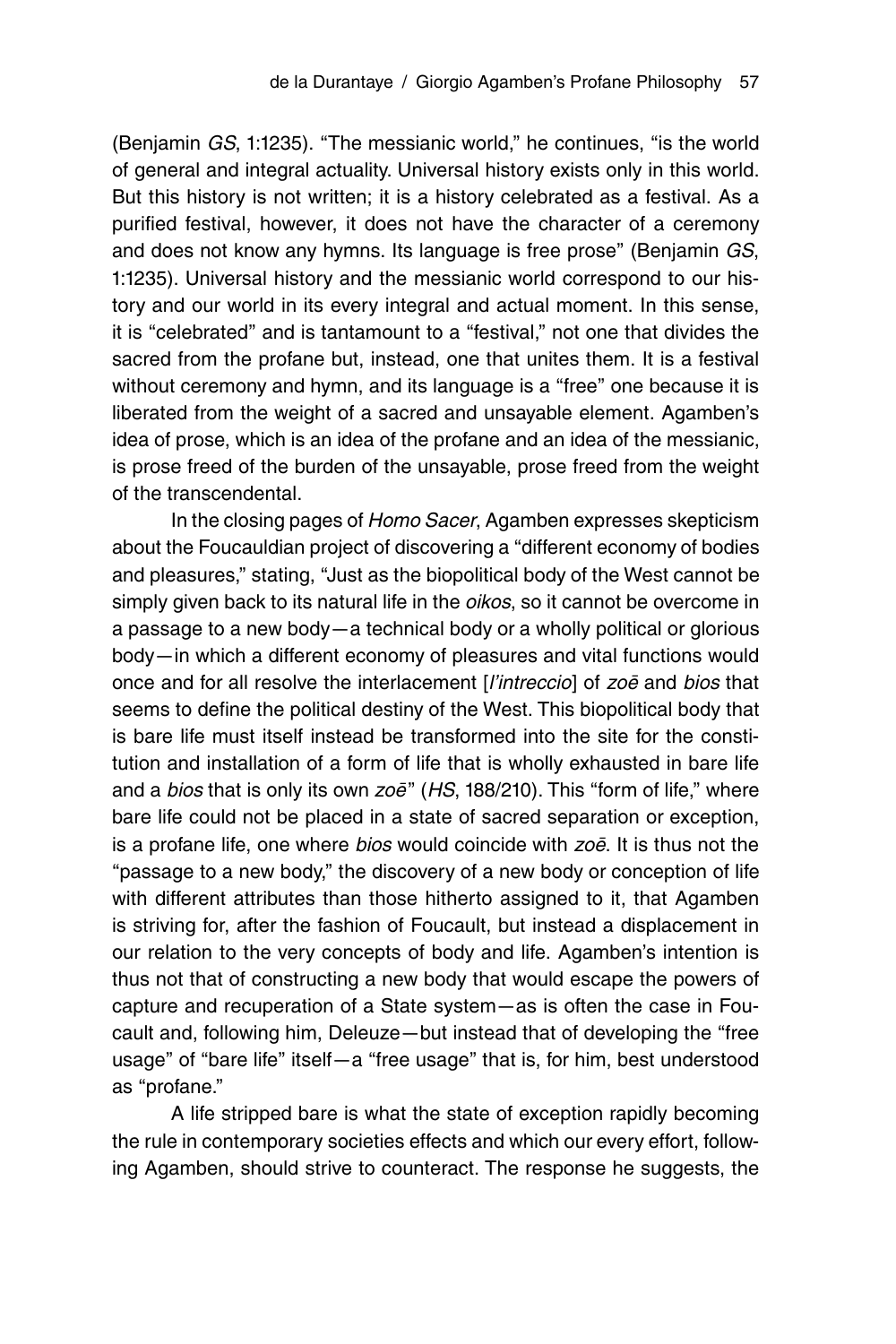(Benjamin *GS*, 1:1235). "The messianic world," he continues, "is the world of general and integral actuality. Universal history exists only in this world. But this history is not written; it is a history celebrated as a festival. As a purified festival, however, it does not have the character of a ceremony and does not know any hymns. Its language is free prose" (Benjamin *GS*, 1:1235). Universal history and the messianic world correspond to our history and our world in its every integral and actual moment. In this sense, it is "celebrated" and is tantamount to a "festival," not one that divides the sacred from the profane but, instead, one that unites them. It is a festival without ceremony and hymn, and its language is a "free" one because it is liberated from the weight of a sacred and unsayable element. Agamben's idea of prose, which is an idea of the profane and an idea of the messianic, is prose freed of the burden of the unsayable, prose freed from the weight of the transcendental.

In the closing pages of *Homo Sacer*, Agamben expresses skepticism about the Foucauldian project of discovering a "different economy of bodies and pleasures," stating, "Just as the biopolitical body of the West cannot be simply given back to its natural life in the *oikos*, so it cannot be overcome in a passage to a new body—a technical body or a wholly political or glorious body—in which a different economy of pleasures and vital functions would once and for all resolve the interlacement [*l'intreccio*] of *zoē* and *bios* that seems to define the political destiny of the West. This biopolitical body that is bare life must itself instead be transformed into the site for the constitution and installation of a form of life that is wholly exhausted in bare life and a *bios* that is only its own *zoē*" (*HS*, 188/210). This "form of life," where bare life could not be placed in a state of sacred separation or exception, is a profane life, one where *bios* would coincide with *zoē*. It is thus not the "passage to a new body," the discovery of a new body or conception of life with different attributes than those hitherto assigned to it, that Agamben is striving for, after the fashion of Foucault, but instead a displacement in our relation to the very concepts of body and life. Agamben's intention is thus not that of constructing a new body that would escape the powers of capture and recuperation of a State system—as is often the case in Foucault and, following him, Deleuze—but instead that of developing the "free usage" of "bare life" itself—a "free usage" that is, for him, best understood as "profane."

A life stripped bare is what the state of exception rapidly becoming the rule in contemporary societies effects and which our every effort, following Agamben, should strive to counteract. The response he suggests, the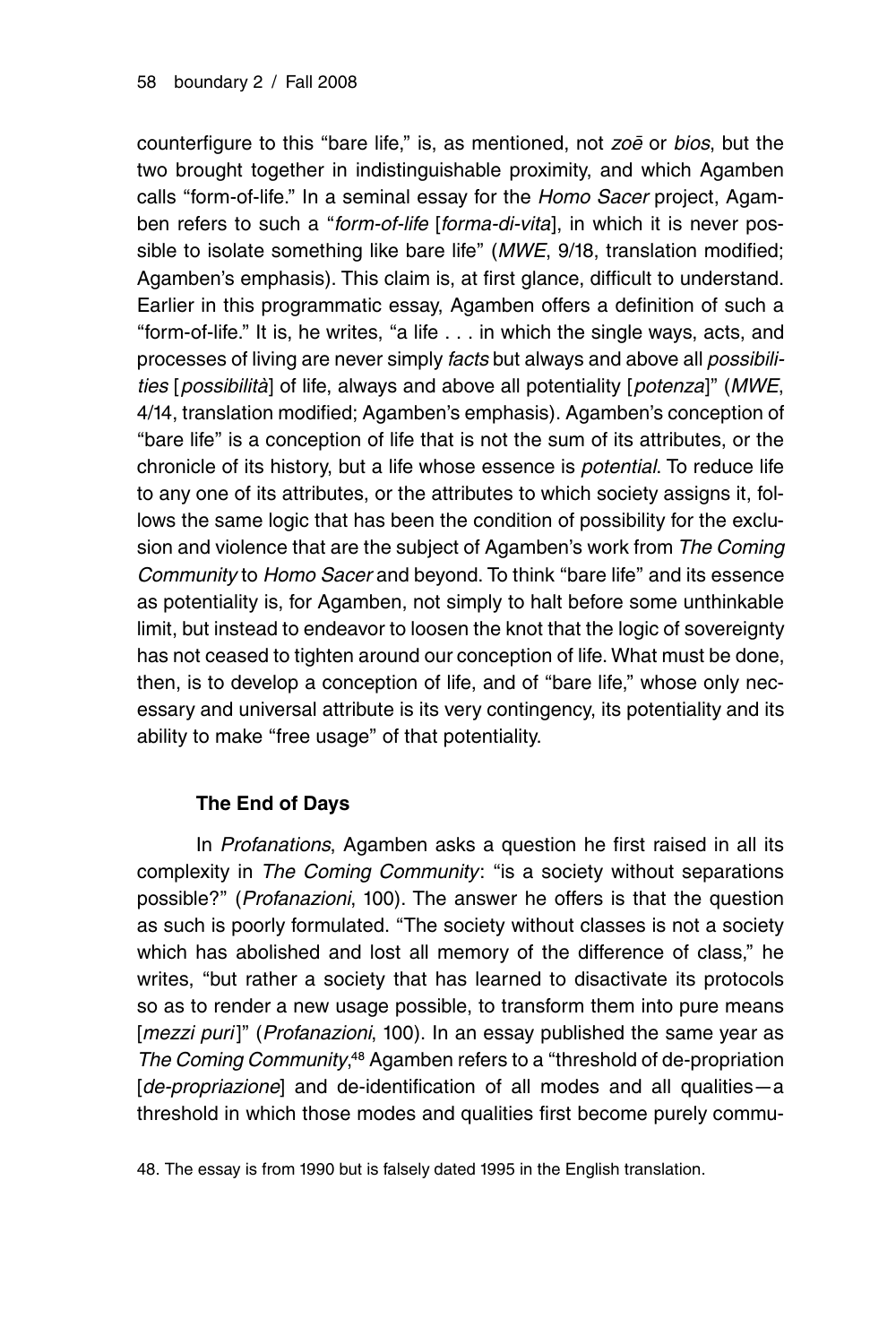counterfigure to this "bare life," is, as mentioned, not *zoē* or *bios*, but the two brought together in indistinguishable proximity, and which Agamben calls "form-of-life." In a seminal essay for the *Homo Sacer* project, Agamben refers to such a "*form-of-life* [*forma-di-vita*], in which it is never possible to isolate something like bare life" (*MWE*, 9/18, translation modified; Agamben's emphasis). This claim is, at first glance, difficult to understand. Earlier in this programmatic essay, Agamben offers a definition of such a "form-of-life." It is, he writes, "a life . . . in which the single ways, acts, and processes of living are never simply *facts* but always and above all *possibilities* [*possibilità*] of life, always and above all potentiality [*potenza*]" (*MWE*, 4/14, translation modified; Agamben's emphasis). Agamben's conception of "bare life" is a conception of life that is not the sum of its attributes, or the chronicle of its history, but a life whose essence is *potential*. To reduce life to any one of its attributes, or the attributes to which society assigns it, follows the same logic that has been the condition of possibility for the exclusion and violence that are the subject of Agamben's work from *The Coming Community* to *Homo Sacer* and beyond. To think "bare life" and its essence as potentiality is, for Agamben, not simply to halt before some unthinkable limit, but instead to endeavor to loosen the knot that the logic of sovereignty has not ceased to tighten around our conception of life. What must be done, then, is to develop a conception of life, and of "bare life," whose only necessary and universal attribute is its very contingency, its potentiality and its ability to make "free usage" of that potentiality.

# **The End of Days**

In *Profanations*, Agamben asks a question he first raised in all its complexity in *The Coming Community*: "is a society without separations possible?" (*Profanazioni*, 100). The answer he offers is that the question as such is poorly formulated. "The society without classes is not a society which has abolished and lost all memory of the difference of class," he writes, "but rather a society that has learned to disactivate its protocols so as to render a new usage possible, to transform them into pure means [*mezzi puri*]" (*Profanazioni*, 100). In an essay published the same year as *The Coming Community*,<sup>48</sup> Agamben refers to a "threshold of de-propriation [*de-propriazione*] and de-identification of all modes and all qualities—a threshold in which those modes and qualities first become purely commu-

48. The essay is from 1990 but is falsely dated 1995 in the English translation.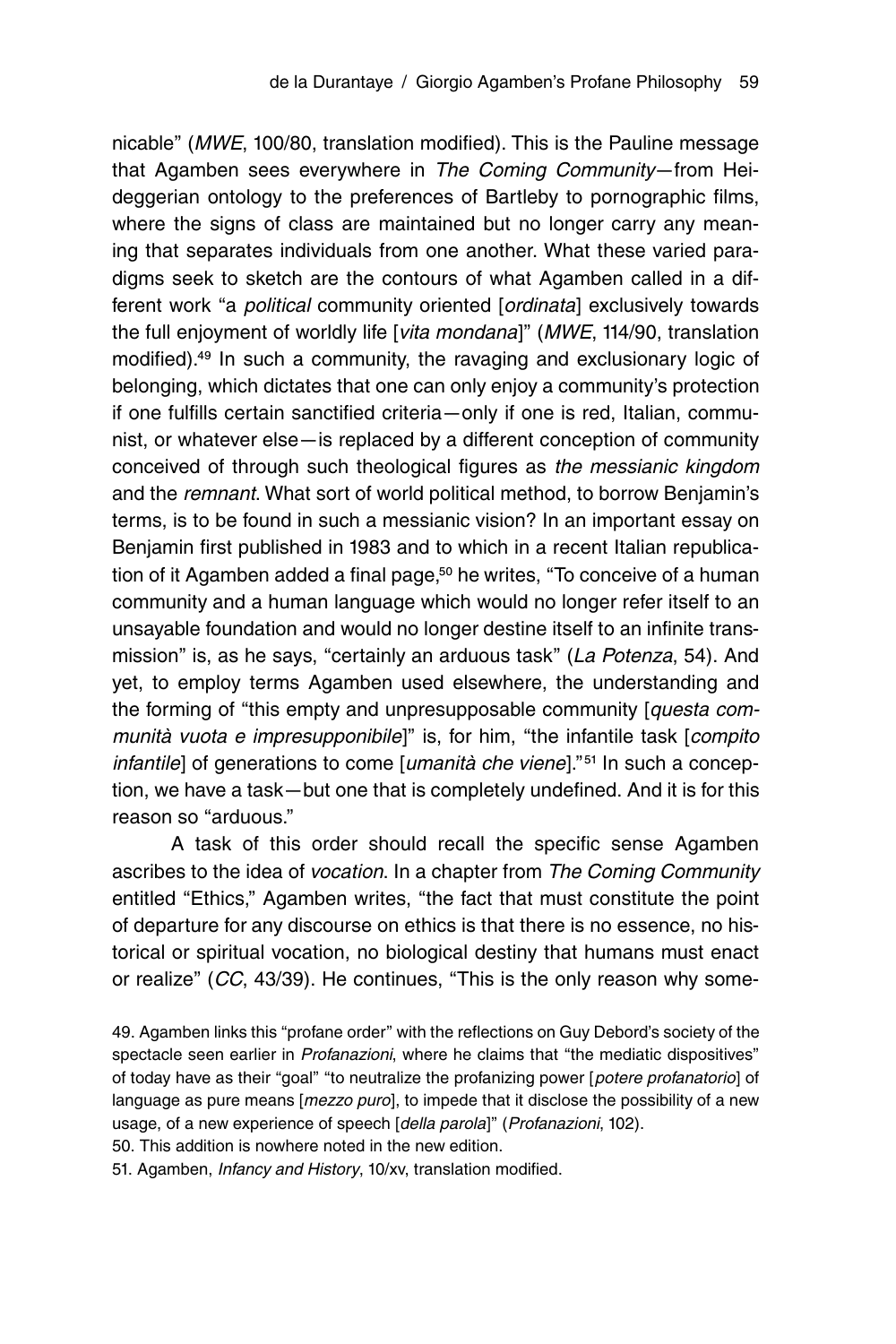nicable" (*MWE*, 100/80, translation modified). This is the Pauline message that Agamben sees everywhere in *The Coming Community*—from Heideggerian ontology to the preferences of Bartleby to pornographic films, where the signs of class are maintained but no longer carry any meaning that separates individuals from one another. What these varied paradigms seek to sketch are the contours of what Agamben called in a different work "a *political* community oriented [*ordinata*] exclusively towards the full enjoyment of worldly life [*vita mondana*]" (*MWE*, 114/90, translation modified).<sup>49</sup> In such a community, the ravaging and exclusionary logic of belonging, which dictates that one can only enjoy a community's protection if one fulfills certain sanctified criteria—only if one is red, Italian, communist, or whatever else—is replaced by a different conception of community conceived of through such theological figures as *the messianic kingdom* and the *remnant*. What sort of world political method, to borrow Benjamin's terms, is to be found in such a messianic vision? In an important essay on Benjamin first published in 1983 and to which in a recent Italian republication of it Agamben added a final page,<sup>50</sup> he writes, "To conceive of a human community and a human language which would no longer refer itself to an unsayable foundation and would no longer destine itself to an infinite transmission" is, as he says, "certainly an arduous task" (*La Potenza*, 54). And yet, to employ terms Agamben used elsewhere, the understanding and the forming of "this empty and unpresupposable community [*questa communità vuota e impresupponibile*]" is, for him, "the infantile task [*compito infantile*] of generations to come [*umanità che viene*]."<sup>51</sup> In such a conception, we have a task—but one that is completely undefined. And it is for this reason so "arduous."

A task of this order should recall the specific sense Agamben ascribes to the idea of *vocation*. In a chapter from *The Coming Community* entitled "Ethics," Agamben writes, "the fact that must constitute the point of departure for any discourse on ethics is that there is no essence, no historical or spiritual vocation, no biological destiny that humans must enact or realize" (*CC*, 43/39). He continues, "This is the only reason why some-

50. This addition is nowhere noted in the new edition.

51. Agamben, *Infancy and History*, 10/xv, translation modified.

<sup>49.</sup> Agamben links this "profane order" with the reflections on Guy Debord's society of the spectacle seen earlier in *Profanazioni*, where he claims that "the mediatic dispositives" of today have as their "goal" "to neutralize the profanizing power [*potere profanatorio*] of language as pure means [*mezzo puro*], to impede that it disclose the possibility of a new usage, of a new experience of speech [*della parola*]" (*Profanazioni*, 102).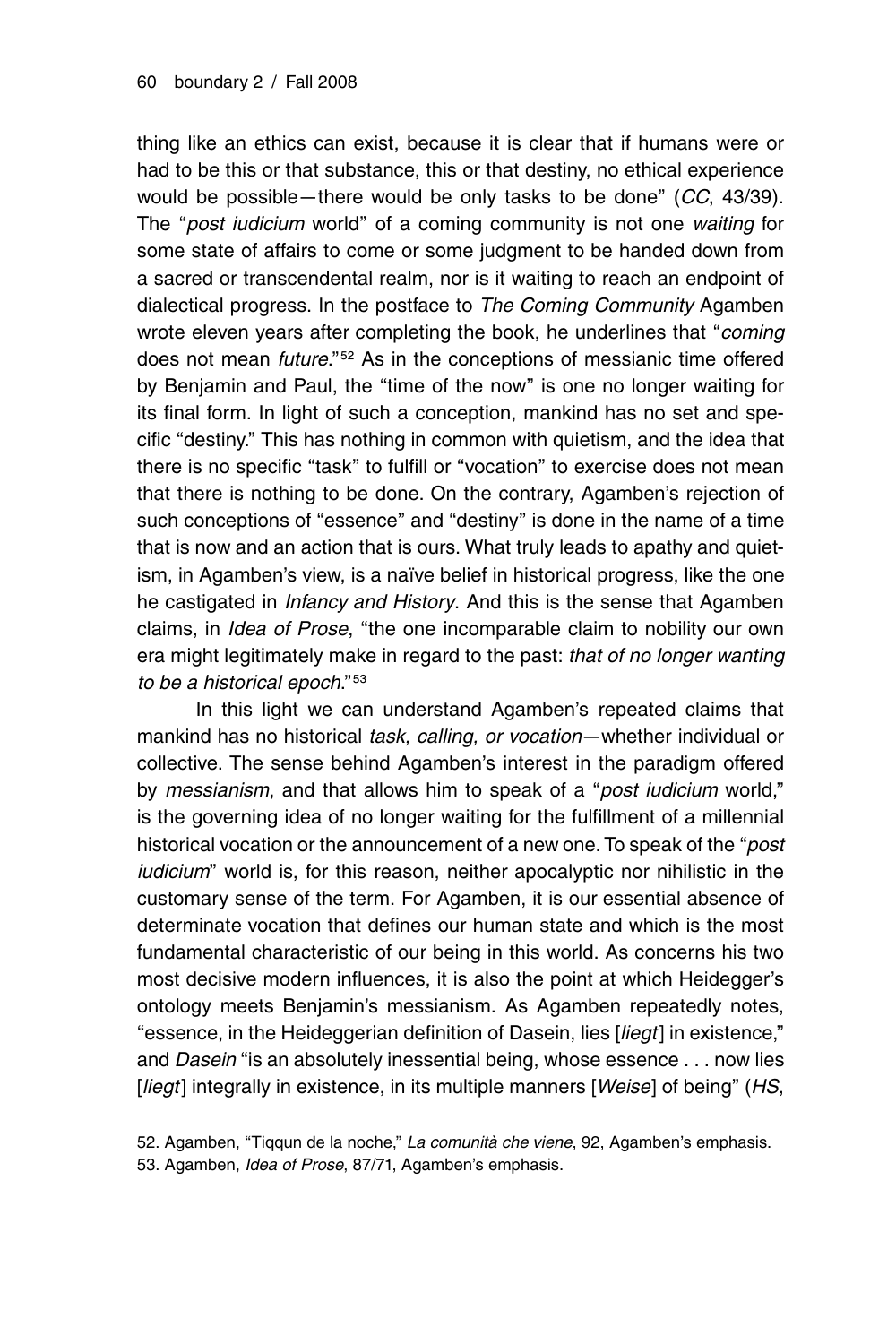thing like an ethics can exist, because it is clear that if humans were or had to be this or that substance, this or that destiny, no ethical experience would be possible—there would be only tasks to be done" (*CC*, 43/39). The "*post iudicium* world" of a coming community is not one *waiting* for some state of affairs to come or some judgment to be handed down from a sacred or transcendental realm, nor is it waiting to reach an endpoint of dialectical progress. In the postface to *The Coming Community* Agamben wrote eleven years after completing the book, he underlines that "*coming* does not mean *future*."<sup>52</sup> As in the conceptions of messianic time offered by Benjamin and Paul, the "time of the now" is one no longer waiting for its final form. In light of such a conception, mankind has no set and specific "destiny." This has nothing in common with quietism, and the idea that there is no specific "task" to fulfill or "vocation" to exercise does not mean that there is nothing to be done. On the contrary, Agamben's rejection of such conceptions of "essence" and "destiny" is done in the name of a time that is now and an action that is ours. What truly leads to apathy and quietism, in Agamben's view, is a naïve belief in historical progress, like the one he castigated in *Infancy and History*. And this is the sense that Agamben claims, in *Idea of Prose*, "the one incomparable claim to nobility our own era might legitimately make in regard to the past: *that of no longer wanting*  to be a historical epoch."<sup>53</sup>

In this light we can understand Agamben's repeated claims that mankind has no historical *task, calling, or vocation*—whether individual or collective. The sense behind Agamben's interest in the paradigm offered by *messianism*, and that allows him to speak of a "*post iudicium* world," is the governing idea of no longer waiting for the fulfillment of a millennial historical vocation or the announcement of a new one. To speak of the "*post iudicium*" world is, for this reason, neither apocalyptic nor nihilistic in the customary sense of the term. For Agamben, it is our essential absence of determinate vocation that defines our human state and which is the most fundamental characteristic of our being in this world. As concerns his two most decisive modern influences, it is also the point at which Heidegger's ontology meets Benjamin's messianism. As Agamben repeatedly notes, "essence, in the Heideggerian definition of Dasein, lies [*liegt*] in existence," and *Dasein* "is an absolutely inessential being, whose essence . . . now lies [*liegt*] integrally in existence, in its multiple manners [*Weise*] of being" (*HS*,

52. Agamben, "Tiqqun de la noche," *La comunità che viene*, 92, Agamben's emphasis. 53. Agamben, *Idea of Prose*, 87/71, Agamben's emphasis.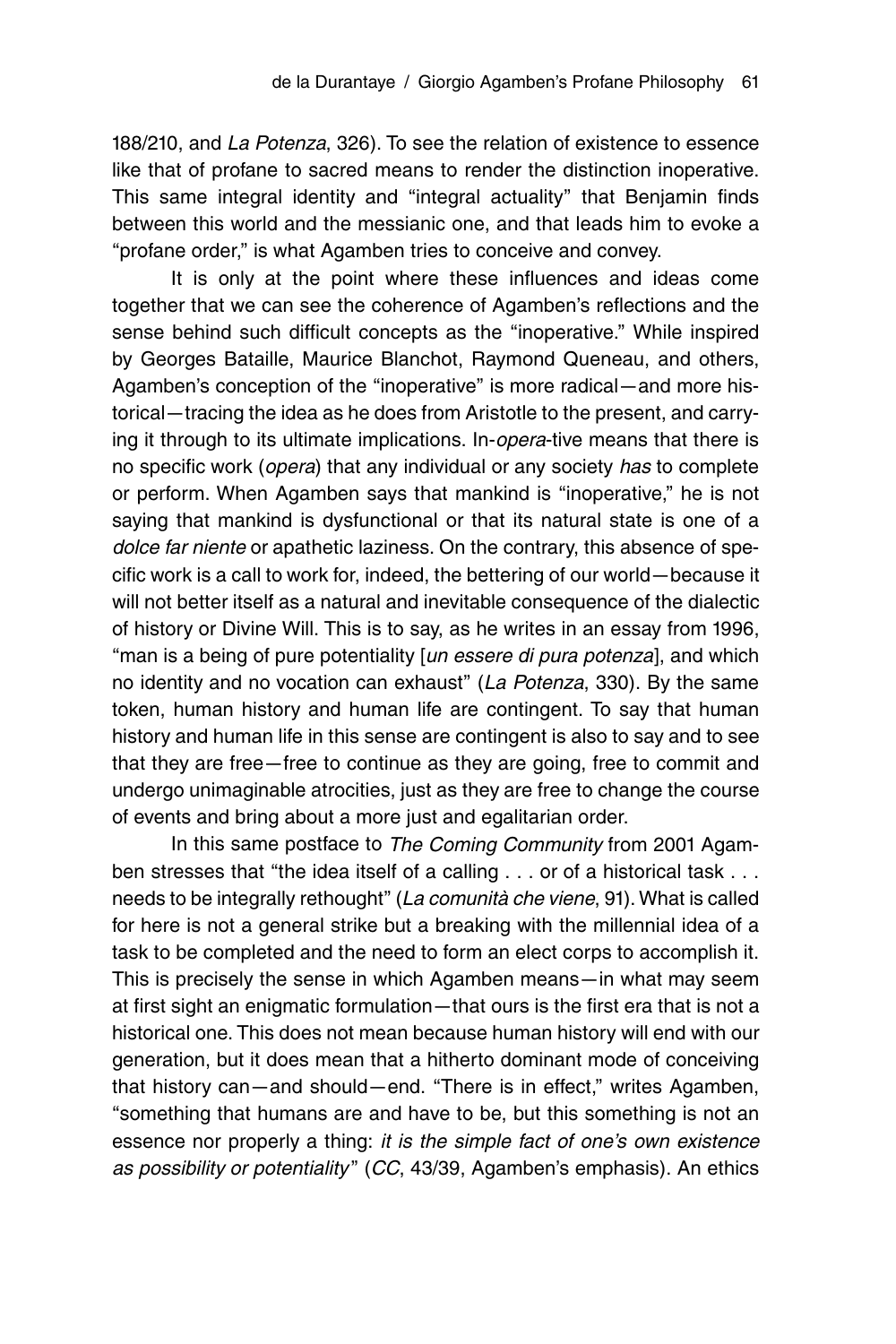188/210, and *La Potenza*, 326). To see the relation of existence to essence like that of profane to sacred means to render the distinction inoperative. This same integral identity and "integral actuality" that Benjamin finds between this world and the messianic one, and that leads him to evoke a "profane order," is what Agamben tries to conceive and convey.

It is only at the point where these influences and ideas come together that we can see the coherence of Agamben's reflections and the sense behind such difficult concepts as the "inoperative." While inspired by Georges Bataille, Maurice Blanchot, Raymond Queneau, and others, Agamben's conception of the "inoperative" is more radical—and more historical—tracing the idea as he does from Aristotle to the present, and carrying it through to its ultimate implications. In-*opera*-tive means that there is no specific work (*opera*) that any individual or any society *has* to complete or perform. When Agamben says that mankind is "inoperative," he is not saying that mankind is dysfunctional or that its natural state is one of a *dolce far niente* or apathetic laziness. On the contrary, this absence of specific work is a call to work for, indeed, the bettering of our world—because it will not better itself as a natural and inevitable consequence of the dialectic of history or Divine Will. This is to say, as he writes in an essay from 1996, "man is a being of pure potentiality [*un essere di pura potenza*], and which no identity and no vocation can exhaust" (*La Potenza*, 330). By the same token, human history and human life are contingent. To say that human history and human life in this sense are contingent is also to say and to see that they are free—free to continue as they are going, free to commit and undergo unimaginable atrocities, just as they are free to change the course of events and bring about a more just and egalitarian order.

In this same postface to *The Coming Community* from 2001 Agamben stresses that "the idea itself of a calling . . . or of a historical task . . . needs to be integrally rethought" (*La comunità che viene*, 91). What is called for here is not a general strike but a breaking with the millennial idea of a task to be completed and the need to form an elect corps to accomplish it. This is precisely the sense in which Agamben means—in what may seem at first sight an enigmatic formulation—that ours is the first era that is not a historical one. This does not mean because human history will end with our generation, but it does mean that a hitherto dominant mode of conceiving that history can—and should—end. "There is in effect," writes Agamben, "something that humans are and have to be, but this something is not an essence nor properly a thing: *it is the simple fact of one's own existence as possibility or potentiality* " (*CC*, 43/39, Agamben's emphasis). An ethics